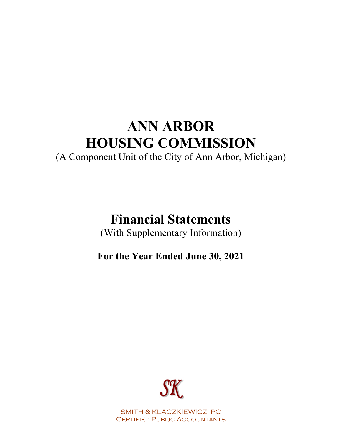# **ANN ARBOR HOUSING COMMISSION**

(A Component Unit of the City of Ann Arbor, Michigan)

# **Financial Statements**

(With Supplementary Information)

**For the Year Ended June 30, 2021** 



SMITH & KLACZKIEWICZ, PC **CERTIFIED PUBLIC ACCOUNTANTS**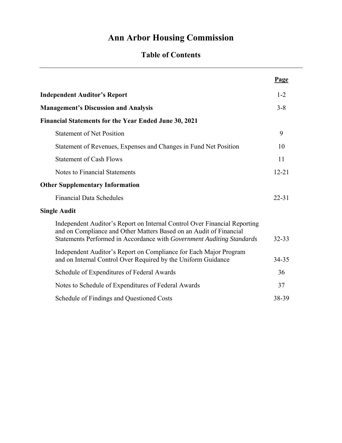## **Ann Arbor Housing Commission**

## **Table of Contents**

|                                                                                                                                                                                                                          | Page      |
|--------------------------------------------------------------------------------------------------------------------------------------------------------------------------------------------------------------------------|-----------|
| <b>Independent Auditor's Report</b>                                                                                                                                                                                      | $1 - 2$   |
| <b>Management's Discussion and Analysis</b>                                                                                                                                                                              | $3 - 8$   |
| <b>Financial Statements for the Year Ended June 30, 2021</b>                                                                                                                                                             |           |
| <b>Statement of Net Position</b>                                                                                                                                                                                         | 9         |
| Statement of Revenues, Expenses and Changes in Fund Net Position                                                                                                                                                         | 10        |
| <b>Statement of Cash Flows</b>                                                                                                                                                                                           | 11        |
| <b>Notes to Financial Statements</b>                                                                                                                                                                                     | $12 - 21$ |
| <b>Other Supplementary Information</b>                                                                                                                                                                                   |           |
| <b>Financial Data Schedules</b>                                                                                                                                                                                          | $22 - 31$ |
| <b>Single Audit</b>                                                                                                                                                                                                      |           |
| Independent Auditor's Report on Internal Control Over Financial Reporting<br>and on Compliance and Other Matters Based on an Audit of Financial<br>Statements Performed in Accordance with Government Auditing Standards | $32 - 33$ |
| Independent Auditor's Report on Compliance for Each Major Program<br>and on Internal Control Over Required by the Uniform Guidance                                                                                       | 34-35     |
| Schedule of Expenditures of Federal Awards                                                                                                                                                                               | 36        |
| Notes to Schedule of Expenditures of Federal Awards                                                                                                                                                                      | 37        |
| Schedule of Findings and Questioned Costs                                                                                                                                                                                | 38-39     |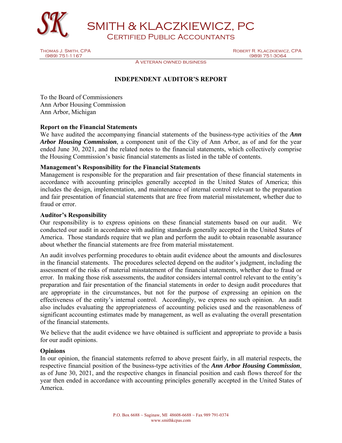

SMITH & KLACZKIEWICZ, PC

Certified Public Accountants

Thomas J. Smith, CPA Robert R. Klaczkiewicz, CPA (989) 751-3064

A veteran owned business

#### **INDEPENDENT AUDITOR'S REPORT**

To the Board of Commissioners Ann Arbor Housing Commission Ann Arbor, Michigan

#### **Report on the Financial Statements**

We have audited the accompanying financial statements of the business-type activities of the *Ann Arbor Housing Commission*, a component unit of the City of Ann Arbor, as of and for the year ended June 30, 2021, and the related notes to the financial statements, which collectively comprise the Housing Commission's basic financial statements as listed in the table of contents.

#### **Management's Responsibility for the Financial Statements**

Management is responsible for the preparation and fair presentation of these financial statements in accordance with accounting principles generally accepted in the United States of America; this includes the design, implementation, and maintenance of internal control relevant to the preparation and fair presentation of financial statements that are free from material misstatement, whether due to fraud or error.

#### **Auditor's Responsibility**

Our responsibility is to express opinions on these financial statements based on our audit. We conducted our audit in accordance with auditing standards generally accepted in the United States of America. Those standards require that we plan and perform the audit to obtain reasonable assurance about whether the financial statements are free from material misstatement.

An audit involves performing procedures to obtain audit evidence about the amounts and disclosures in the financial statements. The procedures selected depend on the auditor's judgment, including the assessment of the risks of material misstatement of the financial statements, whether due to fraud or error. In making those risk assessments, the auditor considers internal control relevant to the entity's preparation and fair presentation of the financial statements in order to design audit procedures that are appropriate in the circumstances, but not for the purpose of expressing an opinion on the effectiveness of the entity's internal control. Accordingly, we express no such opinion. An audit also includes evaluating the appropriateness of accounting policies used and the reasonableness of significant accounting estimates made by management, as well as evaluating the overall presentation of the financial statements.

We believe that the audit evidence we have obtained is sufficient and appropriate to provide a basis for our audit opinions.

#### **Opinions**

In our opinion, the financial statements referred to above present fairly, in all material respects, the respective financial position of the business-type activities of the *Ann Arbor Housing Commission*, as of June 30, 2021, and the respective changes in financial position and cash flows thereof for the year then ended in accordance with accounting principles generally accepted in the United States of America.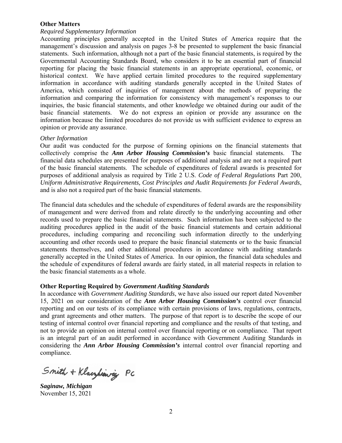#### **Other Matters**

#### *Required Supplementary Information*

Accounting principles generally accepted in the United States of America require that the management's discussion and analysis on pages 3-8 be presented to supplement the basic financial statements. Such information, although not a part of the basic financial statements, is required by the Governmental Accounting Standards Board, who considers it to be an essential part of financial reporting for placing the basic financial statements in an appropriate operational, economic, or historical context. We have applied certain limited procedures to the required supplementary information in accordance with auditing standards generally accepted in the United States of America, which consisted of inquiries of management about the methods of preparing the information and comparing the information for consistency with management's responses to our inquiries, the basic financial statements, and other knowledge we obtained during our audit of the basic financial statements. We do not express an opinion or provide any assurance on the information because the limited procedures do not provide us with sufficient evidence to express an opinion or provide any assurance.

#### *Other Information*

Our audit was conducted for the purpose of forming opinions on the financial statements that collectively comprise the *Ann Arbor Housing Commission's* basic financial statements. The financial data schedules are presented for purposes of additional analysis and are not a required part of the basic financial statements. The schedule of expenditures of federal awards is presented for purposes of additional analysis as required by Title 2 U.S. *Code of Federal Regulations* Part 200, *Uniform Administrative Requirements, Cost Principles and Audit Requirements for Federal Awards*, and is also not a required part of the basic financial statements.

The financial data schedules and the schedule of expenditures of federal awards are the responsibility of management and were derived from and relate directly to the underlying accounting and other records used to prepare the basic financial statements. Such information has been subjected to the auditing procedures applied in the audit of the basic financial statements and certain additional procedures, including comparing and reconciling such information directly to the underlying accounting and other records used to prepare the basic financial statements or to the basic financial statements themselves, and other additional procedures in accordance with auditing standards generally accepted in the United States of America. In our opinion, the financial data schedules and the schedule of expenditures of federal awards are fairly stated, in all material respects in relation to the basic financial statements as a whole.

#### **Other Reporting Required by** *Government Auditing Standards*

In accordance with *Government Auditing Standards*, we have also issued our report dated November 15, 2021 on our consideration of the *Ann Arbor Housing Commission's* control over financial reporting and on our tests of its compliance with certain provisions of laws, regulations, contracts, and grant agreements and other matters. The purpose of that report is to describe the scope of our testing of internal control over financial reporting and compliance and the results of that testing, and not to provide an opinion on internal control over financial reporting or on compliance. That report is an integral part of an audit performed in accordance with Government Auditing Standards in considering the *Ann Arbor Housing Commission's* internal control over financial reporting and compliance.

Smith + Klacyhiavie PC

*Saginaw, Michigan* November 15, 2021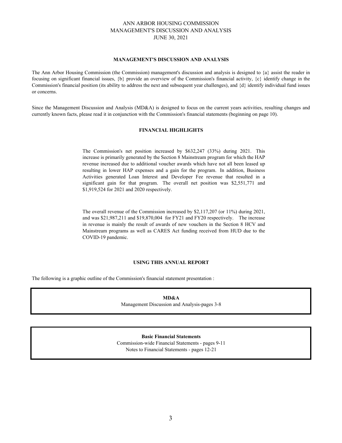#### ANN ARBOR HOUSING COMMISSION MANAGEMENT'S DISCUSSION AND ANALYSIS JUNE 30, 2021

#### **MANAGEMENT'S DISCUSSION AND ANALYSIS**

The Ann Arbor Housing Commission (the Commission) management's discussion and analysis is designed to {a} assist the reader in focusing on significant financial issues, {b} provide an overview of the Commission's financial activity, {c} identify change in the Commission's financial position (its ability to address the next and subsequent year challenges), and {d} identify individual fund issues or concerns.

Since the Management Discussion and Analysis (MD&A) is designed to focus on the current years activities, resulting changes and currently known facts, please read it in conjunction with the Commission's financial statements (beginning on page 10).

#### **FINANCIAL HIGHLIGHTS**

The Commission's net position increased by \$632,247 (33%) during 2021. This increase is primarily generated by the Section 8 Mainstream program for which the HAP revenue increased due to additional voucher awards which have not all been leased up resulting in lower HAP expenses and a gain for the program. In addition, Business Activities generated Loan Interest and Developer Fee revenue that resulted in a significant gain for that program. The overall net position was \$2,551,771 and \$1,919,524 for 2021 and 2020 respectively.

The overall revenue of the Commission increased by \$2,117,207 (or 11%) during 2021, and was \$21,987,211 and \$19,870,004 for FY21 and FY20 respectively. The increase in revenue is mainly the result of awards of new vouchers in the Section 8 HCV and Mainstream programs as well as CARES Act funding received from HUD due to the COVID-19 pandemic.

#### **USING THIS ANNUAL REPORT**

The following is a graphic outline of the Commission's financial statement presentation :

**MD&A**

Management Discussion and Analysis-pages 3-8

Commission-wide Financial Statements - pages 9-11 Notes to Financial Statements - pages 12-21 **Basic Financial Statements**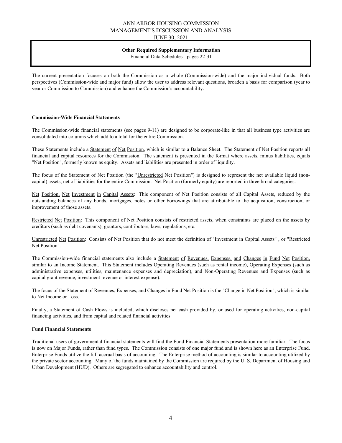#### ANN ARBOR HOUSING COMMISSION MANAGEMENT'S DISCUSSION AND ANALYSIS JUNE 30, 2021

#### **Other Required Supplementary Information**

Financial Data Schedules - pages 22-31

The current presentation focuses on both the Commission as a whole (Commission-wide) and the major individual funds. Both perspectives (Commission-wide and major fund) allow the user to address relevant questions, broaden a basis for comparison (year to year or Commission to Commission) and enhance the Commission's accountability.

#### **Commission-Wide Financial Statements**

The Commission-wide financial statements (see pages 9-11) are designed to be corporate-like in that all business type activities are consolidated into columns which add to a total for the entire Commission.

These Statements include a Statement of Net Position, which is similar to a Balance Sheet. The Statement of Net Position reports all financial and capital resources for the Commission. The statement is presented in the format where assets, minus liabilities, equals "Net Position", formerly known as equity. Assets and liabilities are presented in order of liquidity.

The focus of the Statement of Net Position (the "Unrestricted Net Position") is designed to represent the net available liquid (noncapital) assets, net of liabilities for the entire Commission. Net Position (formerly equity) are reported in three broad categories:

Net Position, Net Investment in Capital Assets: This component of Net Position consists of all Capital Assets, reduced by the outstanding balances of any bonds, mortgages, notes or other borrowings that are attributable to the acquisition, construction, or improvement of those assets.

Restricted Net Position: This component of Net Position consists of restricted assets, when constraints are placed on the assets by creditors (such as debt covenants), grantors, contributors, laws, regulations, etc.

Unrestricted Net Position: Consists of Net Position that do not meet the definition of "Investment in Capital Assets" , or "Restricted Net Position".

The Commission-wide financial statements also include a Statement of Revenues, Expenses, and Changes in Fund Net Position, similar to an Income Statement. This Statement includes Operating Revenues (such as rental income), Operating Expenses (such as administrative expenses, utilities, maintenance expenses and depreciation), and Non-Operating Revenues and Expenses (such as capital grant revenue, investment revenue or interest expense).

The focus of the Statement of Revenues, Expenses, and Changes in Fund Net Position is the "Change in Net Position", which is similar to Net Income or Loss.

Finally, a Statement of Cash Flows is included, which discloses net cash provided by, or used for operating activities, non-capital financing activities, and from capital and related financial activities.

#### **Fund Financial Statements**

Traditional users of governmental financial statements will find the Fund Financial Statements presentation more familiar. The focus is now on Major Funds, rather than fund types. The Commission consists of one major fund and is shown here as an Enterprise Fund. Enterprise Funds utilize the full accrual basis of accounting. The Enterprise method of accounting is similar to accounting utilized by the private sector accounting. Many of the funds maintained by the Commission are required by the U. S. Department of Housing and Urban Development (HUD). Others are segregated to enhance accountability and control.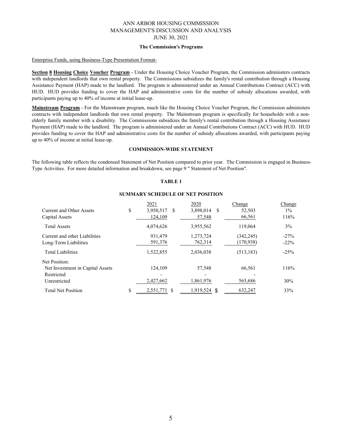#### ANN ARBOR HOUSING COMMISSION MANAGEMENT'S DISCUSSION AND ANALYSIS JUNE 30, 2021

#### **The Commission's Programs**

#### Enterprise Funds, using Business-Type Presentation Format-

**Section 8 Housing Choice Voucher Program** - Under the Housing Choice Voucher Program, the Commission administers contracts with independent landlords that own rental property. The Commissions subsidizes the family's rental contribution through a Housing Assistance Payment (HAP) made to the landlord. The program is administered under an Annual Contributions Contract (ACC) with HUD. HUD provides funding to cover the HAP and administrative costs for the number of subsidy allocations awarded, with participants paying up to 40% of income at initial lease-up.

**Mainstream Program** - For the Mainstream program, much like the Housing Choice Voucher Program, the Commission administers contracts with independent landlords that own rental property. The Mainstream program is specifically for households with a nonelderly family member with a disability. The Commissions subsidizes the family's rental contribution through a Housing Assistance Payment (HAP) made to the landlord. The program is administered under an Annual Contributions Contract (ACC) with HUD. HUD provides funding to cover the HAP and administrative costs for the number of subsidy allocations awarded, with participants paying up to 40% of income at initial lease-up.

#### **COMMISSION-WIDE STATEMENT**

The following table reflects the condensed Statement of Net Position compared to prior year. The Commission is engaged in Business-Type Activities. For more detailed information and breakdown, see page 9 " Statement of Net Position".

#### **TABLE 1**

#### **SUMMARY SCHEDULE OF NET POSITION**

|                                  |    | 2021              | 2020         | Change     | Change          |
|----------------------------------|----|-------------------|--------------|------------|-----------------|
| Current and Other Assets         | \$ | 3,950,517<br>S    | 3,898,014    | -S         | $1\%$<br>52,503 |
| Capital Assets                   |    | 124,109           | 57,548       |            | 116%<br>66,561  |
| <b>Total Assets</b>              |    | 4,074,626         | 3,955,562    | 119,064    | 3%              |
| Current and other Liabilities    |    | 931.479           | 1,273,724    | (342, 245) | $-27%$          |
| Long-Term Liabilities            |    | 591,376           | 762,314      | (170, 938) | $-22\%$         |
| <b>Total Liabilities</b>         |    | 1,522,855         | 2,036,038    | (513, 183) | $-25%$          |
| Net Position:                    |    |                   |              |            |                 |
| Net Investment in Capital Assets |    | 124.109           | 57.548       | 66,561     | 116%            |
| Restricted                       |    |                   |              |            |                 |
| Unrestricted                     |    | 2,427,662         | 1,861,976    | 565,686    | 30%             |
| <b>Total Net Position</b>        | S  | 2,551,771<br>- \$ | 1,919,524 \$ | 632,247    | 33%             |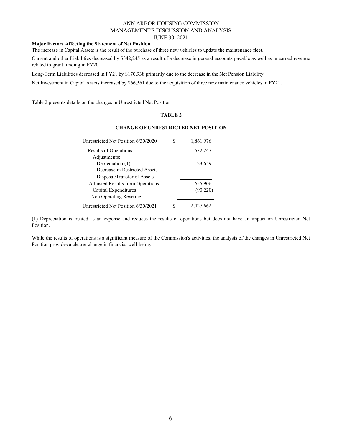## ANN ARBOR HOUSING COMMISSION MANAGEMENT'S DISCUSSION AND ANALYSIS

JUNE 30, 2021

#### **Major Factors Affecting the Statement of Net Position**

The increase in Capital Assets is the result of the purchase of three new vehicles to update the maintenance fleet.

Current and other Liabilities decreased by \$342,245 as a result of a decrease in general accounts payable as well as unearned revenue related to grant funding in FY20.

Long-Term Liabilities decreased in FY21 by \$170,938 primarily due to the decrease in the Net Pension Liability.

Net Investment in Capital Assets increased by \$66,561 due to the acquisition of three new maintenance vehicles in FY21.

Table 2 presents details on the changes in Unrestricted Net Position

#### **TABLE 2**

#### **CHANGE OF UNRESTRICTED NET POSITION**

| Unrestricted Net Position 6/30/2020     | S | 1,861,976 |
|-----------------------------------------|---|-----------|
| Results of Operations                   |   | 632,247   |
| Adjustments:                            |   |           |
| Depreciation (1)                        |   | 23,659    |
| Decrease in Restricted Assets           |   |           |
| Disposal/Transfer of Assets             |   |           |
| <b>Adjusted Results from Operations</b> |   | 655,906   |
| Capital Expenditures                    |   | (90,220)  |
| Non Operating Revenue                   |   |           |
| Unrestricted Net Position 6/30/2021     | S | 2,427,    |

(1) Depreciation is treated as an expense and reduces the results of operations but does not have an impact on Unrestricted Net Position.

While the results of operations is a significant measure of the Commission's activities, the analysis of the changes in Unrestricted Net Position provides a clearer change in financial well-being.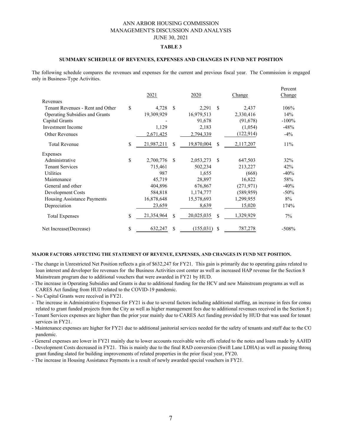## ANN ARBOR HOUSING COMMISSION MANAGEMENT'S DISCUSSION AND ANALYSIS

JUNE 30, 2021

#### **TABLE 3**

#### **SUMMARY SCHEDULE OF REVENUES, EXPENSES AND CHANGES IN FUND NET POSITION**

The following schedule compares the revenues and expenses for the current and previous fiscal year. The Commission is engaged only in Business-Type Activities.

Percent

|              |              |                                      |            |                                                |            | 1 U.UU<br>Change                                    |
|--------------|--------------|--------------------------------------|------------|------------------------------------------------|------------|-----------------------------------------------------|
|              |              |                                      |            |                                                |            |                                                     |
|              |              |                                      |            |                                                |            | 106%                                                |
|              |              |                                      |            |                                                |            | 14%                                                 |
|              |              |                                      |            |                                                |            | $-100%$                                             |
|              |              |                                      |            |                                                |            | $-48%$                                              |
|              | 2,671,425    |                                      | 2,794,339  |                                                | (122, 914) | $-4\%$                                              |
| \$           | 21,987,211   | \$.                                  | 19,870,004 | $\mathcal{S}$                                  | 2,117,207  | 11%                                                 |
|              |              |                                      |            |                                                |            |                                                     |
| $\mathbb{S}$ | 2,700,776    | \$.                                  | 2,053,273  | \$.                                            | 647,503    | 32%                                                 |
|              | 715,461      |                                      | 502,234    |                                                | 213,227    | 42%                                                 |
|              | 987          |                                      | 1,655      |                                                | (668)      | $-40%$                                              |
|              | 45,719       |                                      | 28,897     |                                                | 16,822     | 58%                                                 |
|              | 404,896      |                                      | 676,867    |                                                | (271, 971) | $-40%$                                              |
|              | 584,818      |                                      | 1,174,777  |                                                | (589, 959) | $-50%$                                              |
|              | 16,878,648   |                                      | 15,578,693 |                                                | 1,299,955  | 8%                                                  |
|              | 23,659       |                                      | 8,639      |                                                | 15,020     | 174%                                                |
| \$           | 21,354,964   | S                                    | 20,025,035 | \$                                             | 1,329,929  | 7%                                                  |
| \$           | 632,247      | \$                                   | (155, 031) | \$                                             | 787,278    | $-508%$                                             |
|              | $\mathbb{S}$ | 2021<br>4,728<br>19,309,929<br>1,129 | - \$       | 2020<br>2,291<br>16,979,513<br>91,678<br>2,183 | \$.        | Change<br>2,437<br>2,330,416<br>(91,678)<br>(1,054) |

#### **MAJOR FACTORS AFFECTING THE STATEMENT OF REVENUE, EXPENSES, AND CHANGES IN FUND NET POSITION.**

- The change in Unrestricted Net Position reflects a gin of \$632,247 for FY21. This gain is primarily due to operating gains related to loan interest and developer fee revenues for the Business Activities cost center as well as increased HAP revenue for the Section 8 Mainstream program due to additional vouchers that were awarded in FY21 by HUD.
- The increase in Operating Subsidies and Grants is due to additional funding for the HCV and new Mainstream programs as well as CARES Act funding from HUD related to the COVID-19 pandemic.
- No Capital Grants were received in FY21.
- The increase in Administrative Expenses for FY21 is due to several factors including additional staffing, an increase in fees for consul related to grant funded projects from the City as well as higher management fees due to additional revenues received in the Section  $8<sub>1</sub>$
- Tenant Services expenses are higher than the prior year mainly due to CARES Act funding provided by HUD that was used for tenant services in FY21.
- Maintenance expenses are higher for FY21 due to additional janitorial services needed for the safety of tenants and staff due to the CO pandemic.
- General expenses are lower in FY21 mainly due to lower accounts receivable write offs related to the notes and loans made by AAHD
- Development Costs decreased in FY21. This is mainly due to the final RAD conversion (Swift Lane LDHA) as well as passing throug grant funding slated for building improvements of related properties in the prior fiscal year, FY20.
- The increase in Housing Assistance Payments is a result of newly awarded special vouchers in FY21.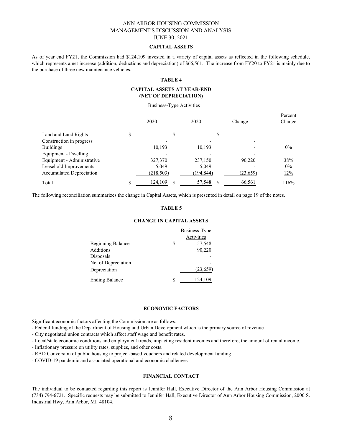## ANN ARBOR HOUSING COMMISSION MANAGEMENT'S DISCUSSION AND ANALYSIS

JUNE 30, 2021

#### **CAPITAL ASSETS**

As of year end FY21, the Commission had \$124,109 invested in a variety of capital assets as reflected in the following schedule, which represents a net increase (addition, deductions and depreciation) of \$66,561. The increase from FY20 to FY21 is mainly due to the purchase of three new maintenance vehicles.

#### **TABLE 4**

#### **(NET OF DEPRECIATION) CAPITAL ASSETS AT YEAR-END**

#### Business-Type Activities

|                                 |    | 2020                     | 2020                     | Change   | Percent<br>Change |
|---------------------------------|----|--------------------------|--------------------------|----------|-------------------|
| Land and Land Rights            | ۰D | S<br>$\mathcal{L}^{\pm}$ | $\overline{\phantom{0}}$ | S        |                   |
| Construction in progress        |    |                          | $\overline{\phantom{a}}$ |          |                   |
| <b>Buildings</b>                |    | 10,193                   | 10.193                   |          | $0\%$             |
| Equipment - Dwelling            |    |                          |                          |          |                   |
| Equipment - Administrative      |    | 327,370                  | 237,150                  | 90,220   | 38%               |
| Leasehold Improvements          |    | 5.049                    | 5,049                    |          | $0\%$             |
| <b>Accumulated Depreciation</b> |    | (218, 503)               | (194, 844)               | (23,659) | 12%               |
| Total                           | J  | 124,109<br>\$            | 57,548                   | 66,561   | 116%              |

The following reconciliation summarizes the change in Capital Assets, which is presented in detail on page 19 of the notes.

#### **TABLE 5**

#### **CHANGE IN CAPITAL ASSETS**

|                     |   | Business-Type     |
|---------------------|---|-------------------|
|                     |   | <b>Activities</b> |
| Beginning Balance   | S | 57,548            |
| Additions           |   | 90,220            |
| Disposals           |   |                   |
| Net of Depreciation |   |                   |
| Depreciation        |   | (23,659)          |
| Ending Balance      | S | 124,109           |

#### **ECONOMIC FACTORS**

Significant economic factors affecting the Commission are as follows:

- Federal funding of the Department of Housing and Urban Development which is the primary source of revenue

- City negotiated union contracts which affect staff wage and benefit rates.
- Local/state economic conditions and employment trends, impacting resident incomes and therefore, the amount of rental income.
- Inflationary pressure on utility rates, supplies, and other costs.
- RAD Conversion of public housing to project-based vouchers and related development funding
- COVID-19 pandemic and associated operational and economic challenges

#### **FINANCIAL CONTACT**

The individual to be contacted regarding this report is Jennifer Hall, Executive Director of the Ann Arbor Housing Commission at (734) 794-6721. Specific requests may be submitted to Jennifer Hall, Executive Director of Ann Arbor Housing Commission, 2000 S. Industrial Hwy, Ann Arbor, MI 48104.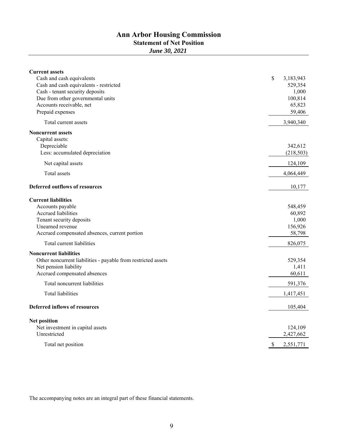## **Ann Arbor Housing Commission Statement of Net Position**

*June 30, 2021*

| <b>Current assets</b>                                         |                 |
|---------------------------------------------------------------|-----------------|
| Cash and cash equivalents                                     | \$<br>3,183,943 |
| Cash and cash equivalents - restricted                        | 529,354         |
| Cash - tenant security deposits                               | 1,000           |
| Due from other governmental units                             | 100,814         |
| Accounts receivable, net                                      | 65,823          |
| Prepaid expenses                                              | 59,406          |
| Total current assets                                          | 3,940,340       |
| <b>Noncurrent assets</b>                                      |                 |
| Capital assets:                                               |                 |
| Depreciable                                                   | 342,612         |
| Less: accumulated depreciation                                | (218, 503)      |
| Net capital assets                                            | 124,109         |
| Total assets                                                  | 4,064,449       |
| <b>Deferred outflows of resources</b>                         | 10,177          |
| <b>Current liabilities</b>                                    |                 |
| Accounts payable                                              | 548,459         |
| Accrued liabilities                                           | 60,892          |
| Tenant security deposits                                      | 1,000           |
| Unearned revenue                                              | 156,926         |
| Accrued compensated absences, current portion                 | 58,798          |
| Total current liabilities                                     | 826,075         |
| <b>Noncurrent liabilities</b>                                 |                 |
| Other noncurrent liabilities - payable from restricted assets | 529,354         |
| Net pension liability                                         | 1,411           |
| Accrued compensated absences                                  | 60,611          |
| Total noncurrent liabilities                                  | 591,376         |
| <b>Total liabilities</b>                                      | 1,417,451       |
| Deferred inflows of resources                                 | 105,404         |
| <b>Net position</b>                                           |                 |
| Net investment in capital assets                              | 124,109         |
| Unrestricted                                                  | 2,427,662       |
| Total net position                                            | \$<br>2,551,771 |

The accompanying notes are an integral part of these financial statements.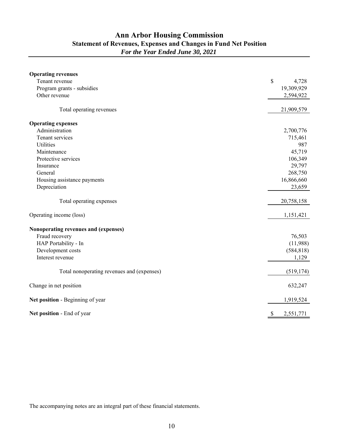## **Ann Arbor Housing Commission Statement of Revenues, Expenses and Changes in Fund Net Position** *For the Year Ended June 30, 2021*

| <b>Operating revenues</b>                  |                 |
|--------------------------------------------|-----------------|
| Tenant revenue                             | \$<br>4,728     |
| Program grants - subsidies                 | 19,309,929      |
| Other revenue                              | 2,594,922       |
| Total operating revenues                   | 21,909,579      |
| <b>Operating expenses</b>                  |                 |
| Administration                             | 2,700,776       |
| Tenant services                            | 715,461         |
| Utilities                                  | 987             |
| Maintenance                                | 45,719          |
| Protective services                        | 106,349         |
| Insurance                                  | 29,797          |
| General                                    | 268,750         |
| Housing assistance payments                | 16,866,660      |
| Depreciation                               | 23,659          |
| Total operating expenses                   | 20,758,158      |
| Operating income (loss)                    | 1,151,421       |
| Nonoperating revenues and (expenses)       |                 |
| Fraud recovery                             | 76,503          |
| HAP Portability - In                       | (11,988)        |
| Development costs                          | (584, 818)      |
| Interest revenue                           | 1,129           |
| Total nonoperating revenues and (expenses) | (519, 174)      |
| Change in net position                     | 632,247         |
| Net position - Beginning of year           | 1,919,524       |
| Net position - End of year                 | \$<br>2,551,771 |

The accompanying notes are an integral part of these financial statements.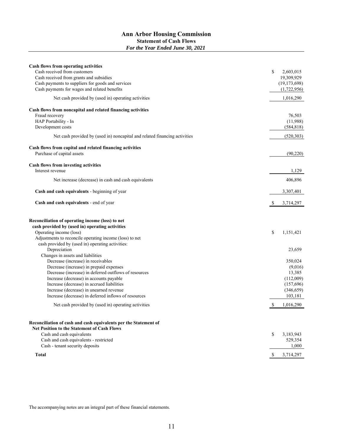#### **Ann Arbor Housing Commission Statement of Cash Flows** *For the Year Ended June 30, 2021*

| <b>Cash flows from operating activities</b>                                |                 |
|----------------------------------------------------------------------------|-----------------|
| Cash received from customers                                               | \$<br>2,603,015 |
| Cash received from grants and subsidies                                    | 19,309,929      |
| Cash payments to suppliers for goods and services                          | (19, 173, 698)  |
| Cash payments for wages and related benefits                               | (1,722,956)     |
| Net cash provided by (used in) operating activities                        | 1,016,290       |
| Cash flows from noncapital and related financing activities                |                 |
| Fraud recovery                                                             | 76,503          |
| HAP Portability - In                                                       | (11,988)        |
| Development costs                                                          | (584, 818)      |
| Net cash provided by (used in) noncapital and related financing activities | (520, 303)      |
| Cash flows from capital and related financing activities                   |                 |
| Purchase of capital assets                                                 | (90,220)        |
| Cash flows from investing activities                                       |                 |
| Interest revenue                                                           | 1,129           |
| Net increase (decrease) in cash and cash equivalents                       | 406,896         |
|                                                                            |                 |
| Cash and cash equivalents - beginning of year                              | 3,307,401       |
| Cash and cash equivalents - end of year                                    | S<br>3,714,297  |
| Reconciliation of operating income (loss) to net                           |                 |
| cash provided by (used in) operating activities                            |                 |
| Operating income (loss)                                                    | \$<br>1,151,421 |
| Adjustments to reconcile operating income (loss) to net                    |                 |
| cash provided by (used in) operating activities:                           |                 |
| Depreciation                                                               | 23,659          |
| Changes in assets and liabilities                                          |                 |
| Decrease (increase) in receivables                                         | 350,024         |
| Decrease (increase) in prepaid expenses                                    | (9,016)         |
| Decrease (increase) in deferred outflows of resources                      | 13,385          |
| Increase (decrease) in accounts payable                                    | (112,009)       |
| Increase (decrease) in accrued liabilities                                 | (157,696)       |
| Increase (decrease) in unearned revenue                                    | (346, 659)      |
| Increase (decrease) in deferred inflows of resources                       | 103,181         |
| Net cash provided by (used in) operating activities                        | 1,016,290       |
|                                                                            |                 |
| Reconciliation of cash and cash equivalents per the Statement of           |                 |
| Net Position to the Statement of Cash Flows                                |                 |
| Cash and cash equivalents                                                  | \$<br>3,183,943 |
| Cash and cash equivalents - restricted                                     | 529,354         |
| Cash - tenant security deposits                                            | 1,000           |
| <b>Total</b>                                                               | \$              |
|                                                                            | 3,714,297       |

The accompanying notes are an integral part of these financial statements.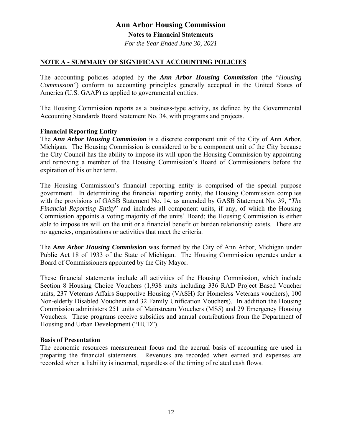## **NOTE A - SUMMARY OF SIGNIFICANT ACCOUNTING POLICIES**

The accounting policies adopted by the *Ann Arbor Housing Commission* (the "*Housing Commission*") conform to accounting principles generally accepted in the United States of America (U.S. GAAP) as applied to governmental entities.

The Housing Commission reports as a business-type activity, as defined by the Governmental Accounting Standards Board Statement No. 34, with programs and projects.

## **Financial Reporting Entity**

The *Ann Arbor Housing Commission* is a discrete component unit of the City of Ann Arbor, Michigan. The Housing Commission is considered to be a component unit of the City because the City Council has the ability to impose its will upon the Housing Commission by appointing and removing a member of the Housing Commission's Board of Commissioners before the expiration of his or her term.

The Housing Commission's financial reporting entity is comprised of the special purpose government. In determining the financial reporting entity, the Housing Commission complies with the provisions of GASB Statement No. 14, as amended by GASB Statement No. 39, "*The Financial Reporting Entity*" and includes all component units, if any, of which the Housing Commission appoints a voting majority of the units' Board; the Housing Commission is either able to impose its will on the unit or a financial benefit or burden relationship exists. There are no agencies, organizations or activities that meet the criteria.

The *Ann Arbor Housing Commission* was formed by the City of Ann Arbor, Michigan under Public Act 18 of 1933 of the State of Michigan. The Housing Commission operates under a Board of Commissioners appointed by the City Mayor.

These financial statements include all activities of the Housing Commission, which include Section 8 Housing Choice Vouchers (1,938 units including 336 RAD Project Based Voucher units, 237 Veterans Affairs Supportive Housing (VASH) for Homeless Veterans vouchers), 100 Non-elderly Disabled Vouchers and 32 Family Unification Vouchers). In addition the Housing Commission administers 251 units of Mainstream Vouchers (MS5) and 29 Emergency Housing Vouchers. These programs receive subsidies and annual contributions from the Department of Housing and Urban Development ("HUD").

#### **Basis of Presentation**

The economic resources measurement focus and the accrual basis of accounting are used in preparing the financial statements. Revenues are recorded when earned and expenses are recorded when a liability is incurred, regardless of the timing of related cash flows.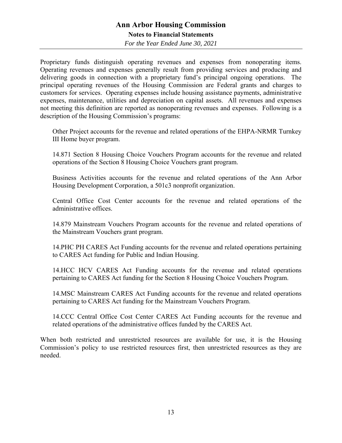Proprietary funds distinguish operating revenues and expenses from nonoperating items. Operating revenues and expenses generally result from providing services and producing and delivering goods in connection with a proprietary fund's principal ongoing operations. The principal operating revenues of the Housing Commission are Federal grants and charges to customers for services. Operating expenses include housing assistance payments, administrative expenses, maintenance, utilities and depreciation on capital assets. All revenues and expenses not meeting this definition are reported as nonoperating revenues and expenses. Following is a description of the Housing Commission's programs:

Other Project accounts for the revenue and related operations of the EHPA-NRMR Turnkey III Home buyer program.

14.871 Section 8 Housing Choice Vouchers Program accounts for the revenue and related operations of the Section 8 Housing Choice Vouchers grant program.

Business Activities accounts for the revenue and related operations of the Ann Arbor Housing Development Corporation, a 501c3 nonprofit organization.

Central Office Cost Center accounts for the revenue and related operations of the administrative offices.

14.879 Mainstream Vouchers Program accounts for the revenue and related operations of the Mainstream Vouchers grant program.

14.PHC PH CARES Act Funding accounts for the revenue and related operations pertaining to CARES Act funding for Public and Indian Housing.

14.HCC HCV CARES Act Funding accounts for the revenue and related operations pertaining to CARES Act funding for the Section 8 Housing Choice Vouchers Program.

14.MSC Mainstream CARES Act Funding accounts for the revenue and related operations pertaining to CARES Act funding for the Mainstream Vouchers Program.

14.CCC Central Office Cost Center CARES Act Funding accounts for the revenue and related operations of the administrative offices funded by the CARES Act.

When both restricted and unrestricted resources are available for use, it is the Housing Commission's policy to use restricted resources first, then unrestricted resources as they are needed.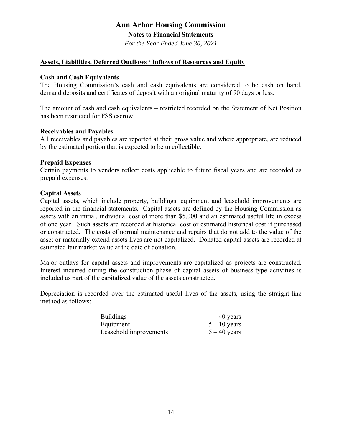## **Assets, Liabilities. Deferred Outflows / Inflows of Resources and Equity**

## **Cash and Cash Equivalents**

The Housing Commission's cash and cash equivalents are considered to be cash on hand, demand deposits and certificates of deposit with an original maturity of 90 days or less.

The amount of cash and cash equivalents – restricted recorded on the Statement of Net Position has been restricted for FSS escrow.

#### **Receivables and Payables**

All receivables and payables are reported at their gross value and where appropriate, are reduced by the estimated portion that is expected to be uncollectible.

#### **Prepaid Expenses**

Certain payments to vendors reflect costs applicable to future fiscal years and are recorded as prepaid expenses.

#### **Capital Assets**

Capital assets, which include property, buildings, equipment and leasehold improvements are reported in the financial statements. Capital assets are defined by the Housing Commission as assets with an initial, individual cost of more than \$5,000 and an estimated useful life in excess of one year. Such assets are recorded at historical cost or estimated historical cost if purchased or constructed. The costs of normal maintenance and repairs that do not add to the value of the asset or materially extend assets lives are not capitalized. Donated capital assets are recorded at estimated fair market value at the date of donation.

Major outlays for capital assets and improvements are capitalized as projects are constructed. Interest incurred during the construction phase of capital assets of business-type activities is included as part of the capitalized value of the assets constructed.

Depreciation is recorded over the estimated useful lives of the assets, using the straight-line method as follows:

| <b>Buildings</b>       | 40 years        |
|------------------------|-----------------|
| Equipment              | $5 - 10$ years  |
| Leasehold improvements | $15 - 40$ years |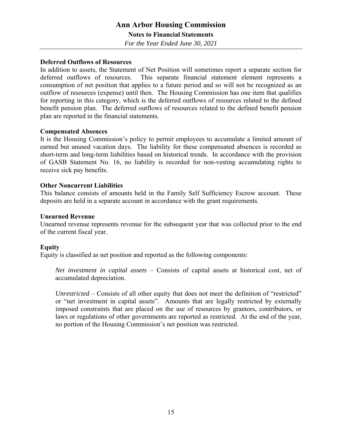## **Deferred Outflows of Resources**

In addition to assets, the Statement of Net Position will sometimes report a separate section for deferred outflows of resources. This separate financial statement element represents a consumption of net position that applies to a future period and so will not be recognized as an outflow of resources (expense) until then. The Housing Commission has one item that qualifies for reporting in this category, which is the deferred outflows of resources related to the defined benefit pension plan. The deferred outflows of resources related to the defined benefit pension plan are reported in the financial statements.

## **Compensated Absences**

It is the Housing Commission's policy to permit employees to accumulate a limited amount of earned but unused vacation days. The liability for these compensated absences is recorded as short-term and long-term liabilities based on historical trends. In accordance with the provision of GASB Statement No. 16, no liability is recorded for non-vesting accumulating rights to receive sick pay benefits.

## **Other Noncurrent Liabilities**

This balance consists of amounts held in the Family Self Sufficiency Escrow account. These deposits are held in a separate account in accordance with the grant requirements.

#### **Unearned Revenue**

Unearned revenue represents revenue for the subsequent year that was collected prior to the end of the current fiscal year.

## **Equity**

Equity is classified as net position and reported as the following components:

*Net investment in capital assets* – Consists of capital assets at historical cost, net of accumulated depreciation.

*Unrestricted* – Consists of all other equity that does not meet the definition of "restricted" or "net investment in capital assets". Amounts that are legally restricted by externally imposed constraints that are placed on the use of resources by grantors, contributors, or laws or regulations of other governments are reported as restricted. At the end of the year, no portion of the Housing Commission's net position was restricted.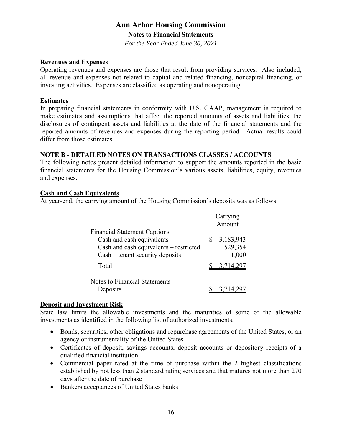## **Revenues and Expenses**

Operating revenues and expenses are those that result from providing services. Also included, all revenue and expenses not related to capital and related financing, noncapital financing, or investing activities. Expenses are classified as operating and nonoperating.

## **Estimates**

In preparing financial statements in conformity with U.S. GAAP, management is required to make estimates and assumptions that affect the reported amounts of assets and liabilities, the disclosures of contingent assets and liabilities at the date of the financial statements and the reported amounts of revenues and expenses during the reporting period. Actual results could differ from those estimates.

## **NOTE B - DETAILED NOTES ON TRANSACTIONS CLASSES / ACCOUNTS**

The following notes present detailed information to support the amounts reported in the basic financial statements for the Housing Commission's various assets, liabilities, equity, revenues and expenses.

## **Cash and Cash Equivalents**

At year-end, the carrying amount of the Housing Commission's deposits was as follows:

|                                        | Carrying |           |
|----------------------------------------|----------|-----------|
|                                        |          | Amount    |
| <b>Financial Statement Captions</b>    |          |           |
| Cash and cash equivalents              |          | 3,183,943 |
| Cash and cash equivalents - restricted |          | 529,354   |
| Cash – tenant security deposits        |          | 1,000     |
| Total                                  |          | 3,714,297 |
| Notes to Financial Statements          |          |           |
| Deposits                               |          |           |

## **Deposit and Investment Risk**

State law limits the allowable investments and the maturities of some of the allowable investments as identified in the following list of authorized investments.

- Bonds, securities, other obligations and repurchase agreements of the United States, or an agency or instrumentality of the United States
- Certificates of deposit, savings accounts, deposit accounts or depository receipts of a qualified financial institution
- Commercial paper rated at the time of purchase within the  $2$  highest classifications established by not less than 2 standard rating services and that matures not more than 270 days after the date of purchase
- Bankers acceptances of United States banks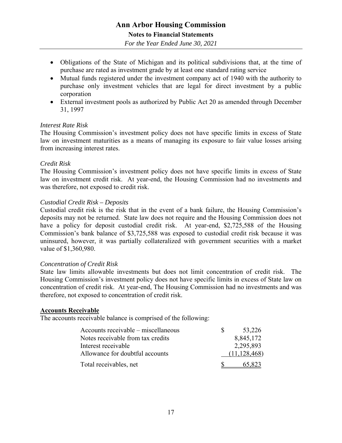- Obligations of the State of Michigan and its political subdivisions that, at the time of purchase are rated as investment grade by at least one standard rating service
- Mutual funds registered under the investment company act of 1940 with the authority to purchase only investment vehicles that are legal for direct investment by a public corporation
- External investment pools as authorized by Public Act 20 as amended through December 31, 1997

## *Interest Rate Risk*

The Housing Commission's investment policy does not have specific limits in excess of State law on investment maturities as a means of managing its exposure to fair value losses arising from increasing interest rates.

## *Credit Risk*

The Housing Commission's investment policy does not have specific limits in excess of State law on investment credit risk. At year-end, the Housing Commission had no investments and was therefore, not exposed to credit risk.

## *Custodial Credit Risk – Deposits*

Custodial credit risk is the risk that in the event of a bank failure, the Housing Commission's deposits may not be returned. State law does not require and the Housing Commission does not have a policy for deposit custodial credit risk. At year-end, \$2,725,588 of the Housing Commission's bank balance of \$3,725,588 was exposed to custodial credit risk because it was uninsured, however, it was partially collateralized with government securities with a market value of \$1,360,980.

## *Concentration of Credit Risk*

State law limits allowable investments but does not limit concentration of credit risk. The Housing Commission's investment policy does not have specific limits in excess of State law on concentration of credit risk. At year-end, The Housing Commission had no investments and was therefore, not exposed to concentration of credit risk.

## **Accounts Receivable**

The accounts receivable balance is comprised of the following:

| Accounts receivable – miscellaneous | 53,226         |
|-------------------------------------|----------------|
| Notes receivable from tax credits   | 8,845,172      |
| Interest receivable                 | 2,295,893      |
| Allowance for doubtful accounts     | (11, 128, 468) |
| Total receivables, net              |                |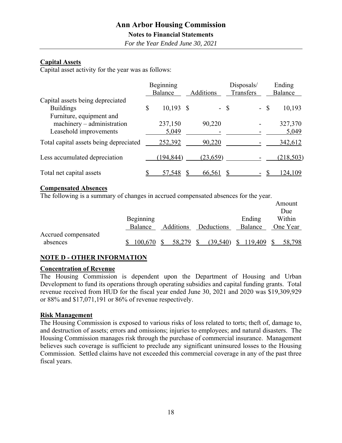## **Ann Arbor Housing Commission**

**Notes to Financial Statements** 

*For the Year Ended June 30, 2021* 

## **Capital Assets**

Capital asset activity for the year was as follows:

|                                        | Beginning         |  |                  |           | Disposals/ |        | Ending     |
|----------------------------------------|-------------------|--|------------------|-----------|------------|--------|------------|
|                                        | Balance           |  | <b>Additions</b> | Transfers |            |        | Balance    |
| Capital assets being depreciated       |                   |  |                  |           |            |        |            |
| <b>Buildings</b>                       | \$<br>$10,193$ \$ |  | $-$ \$           |           |            | $-$ \$ | 10,193     |
| Furniture, equipment and               |                   |  |                  |           |            |        |            |
| $machinery - administration$           | 237,150           |  | 90,220           |           |            |        | 327,370    |
| Leasehold improvements                 | 5,049             |  |                  |           |            |        | 5,049      |
| Total capital assets being depreciated | 252,392           |  | 90,220           |           |            |        | 342,612    |
| Less accumulated depreciation          | (194, 844)        |  | (23, 659)        |           |            |        | (218, 503) |
| Total net capital assets               | <u>57,548</u>     |  | 66,561           |           |            |        | 124,109    |

## **Compensated Absences**

The following is a summary of changes in accrued compensated absences for the year.

|                     |           |                  |            |         | Amount   |  |
|---------------------|-----------|------------------|------------|---------|----------|--|
|                     |           |                  |            |         | Due      |  |
|                     | Beginning |                  |            | Ending  | Within   |  |
|                     | Balance   | <b>Additions</b> | Deductions | Balance | One Year |  |
| Accrued compensated |           |                  |            |         |          |  |
| absences            | 100,670   | 58,279           | (39, 540)  | 119,409 | 58,798   |  |

## **NOTE D - OTHER INFORMATION**

## **Concentration of Revenue**

The Housing Commission is dependent upon the Department of Housing and Urban Development to fund its operations through operating subsidies and capital funding grants. Total revenue received from HUD for the fiscal year ended June 30, 2021 and 2020 was \$19,309,929 or 88% and \$17,071,191 or 86% of revenue respectively.

## **Risk Management**

The Housing Commission is exposed to various risks of loss related to torts; theft of, damage to, and destruction of assets; errors and omissions; injuries to employees; and natural disasters. The Housing Commission manages risk through the purchase of commercial insurance. Management believes such coverage is sufficient to preclude any significant uninsured losses to the Housing Commission. Settled claims have not exceeded this commercial coverage in any of the past three fiscal years.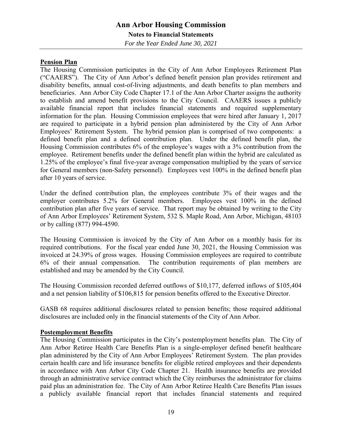## **Ann Arbor Housing Commission Notes to Financial Statements**  *For the Year Ended June 30, 2021*

## **Pension Plan**

The Housing Commission participates in the City of Ann Arbor Employees Retirement Plan ("CAAERS"). The City of Ann Arbor's defined benefit pension plan provides retirement and disability benefits, annual cost-of-living adjustments, and death benefits to plan members and beneficiaries. Ann Arbor City Code Chapter 17.1 of the Ann Arbor Charter assigns the authority to establish and amend benefit provisions to the City Council. CAAERS issues a publicly available financial report that includes financial statements and required supplementary information for the plan. Housing Commission employees that were hired after January 1, 2017 are required to participate in a hybrid pension plan administered by the City of Ann Arbor Employees' Retirement System. The hybrid pension plan is comprised of two components: a defined benefit plan and a defined contribution plan. Under the defined benefit plan, the Housing Commission contributes 6% of the employee's wages with a 3% contribution from the employee. Retirement benefits under the defined benefit plan within the hybrid are calculated as 1.25% of the employee's final five-year average compensation multiplied by the years of service for General members (non-Safety personnel). Employees vest 100% in the defined benefit plan after 10 years of service.

Under the defined contribution plan, the employees contribute 3% of their wages and the employer contributes 5.2% for General members. Employees vest 100% in the defined contribution plan after five years of service. That report may be obtained by writing to the City of Ann Arbor Employees' Retirement System, 532 S. Maple Road, Ann Arbor, Michigan, 48103 or by calling (877) 994-4590.

The Housing Commission is invoiced by the City of Ann Arbor on a monthly basis for its required contributions. For the fiscal year ended June 30, 2021, the Housing Commission was invoiced at 24.39% of gross wages. Housing Commission employees are required to contribute 6% of their annual compensation. The contribution requirements of plan members are established and may be amended by the City Council.

The Housing Commission recorded deferred outflows of \$10,177, deferred inflows of \$105,404 and a net pension liability of \$106,815 for pension benefits offered to the Executive Director.

GASB 68 requires additional disclosures related to pension benefits; those required additional disclosures are included only in the financial statements of the City of Ann Arbor.

## **Postemployment Benefits**

The Housing Commission participates in the City's postemployment benefits plan. The City of Ann Arbor Retiree Health Care Benefits Plan is a single-employer defined benefit healthcare plan administered by the City of Ann Arbor Employees' Retirement System. The plan provides certain health care and life insurance benefits for eligible retired employees and their dependents in accordance with Ann Arbor City Code Chapter 21. Health insurance benefits are provided through an administrative service contract which the City reimburses the administrator for claims paid plus an administration fee. The City of Ann Arbor Retiree Health Care Benefits Plan issues a publicly available financial report that includes financial statements and required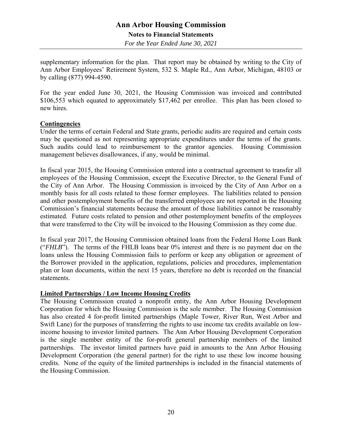supplementary information for the plan. That report may be obtained by writing to the City of Ann Arbor Employees' Retirement System, 532 S. Maple Rd., Ann Arbor, Michigan, 48103 or by calling (877) 994-4590.

For the year ended June 30, 2021, the Housing Commission was invoiced and contributed \$106,553 which equated to approximately \$17,462 per enrollee. This plan has been closed to new hires.

## **Contingencies**

Under the terms of certain Federal and State grants, periodic audits are required and certain costs may be questioned as not representing appropriate expenditures under the terms of the grants. Such audits could lead to reimbursement to the grantor agencies. Housing Commission management believes disallowances, if any, would be minimal.

In fiscal year 2015, the Housing Commission entered into a contractual agreement to transfer all employees of the Housing Commission, except the Executive Director, to the General Fund of the City of Ann Arbor. The Housing Commission is invoiced by the City of Ann Arbor on a monthly basis for all costs related to those former employees. The liabilities related to pension and other postemployment benefits of the transferred employees are not reported in the Housing Commission's financial statements because the amount of those liabilities cannot be reasonably estimated. Future costs related to pension and other postemployment benefits of the employees that were transferred to the City will be invoiced to the Housing Commission as they come due.

In fiscal year 2017, the Housing Commission obtained loans from the Federal Home Loan Bank ("*FHLB*"). The terms of the FHLB loans bear 0% interest and there is no payment due on the loans unless the Housing Commission fails to perform or keep any obligation or agreement of the Borrower provided in the application, regulations, policies and procedures, implementation plan or loan documents, within the next 15 years, therefore no debt is recorded on the financial statements.

## **Limited Partnerships / Low Income Housing Credits**

The Housing Commission created a nonprofit entity, the Ann Arbor Housing Development Corporation for which the Housing Commission is the sole member. The Housing Commission has also created 4 for-profit limited partnerships (Maple Tower, River Run, West Arbor and Swift Lane) for the purposes of transferring the rights to use income tax credits available on lowincome housing to investor limited partners. The Ann Arbor Housing Development Corporation is the single member entity of the for-profit general partnership members of the limited partnerships. The investor limited partners have paid in amounts to the Ann Arbor Housing Development Corporation (the general partner) for the right to use these low income housing credits. None of the equity of the limited partnerships is included in the financial statements of the Housing Commission.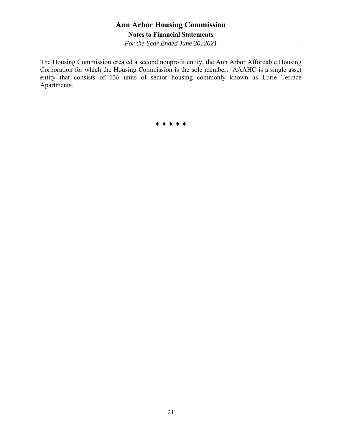## **Ann Arbor Housing Commission Notes to Financial Statements**

*For the Year Ended June 30, 2021* 

The Housing Commission created a second nonprofit entity, the Ann Arbor Affordable Housing Corporation for which the Housing Commission is the sole member. AAAHC is a single asset entity that consists of 136 units of senior housing commonly known as Lurie Terrace Apartments.

♦ ♦ ♦ ♦ ♦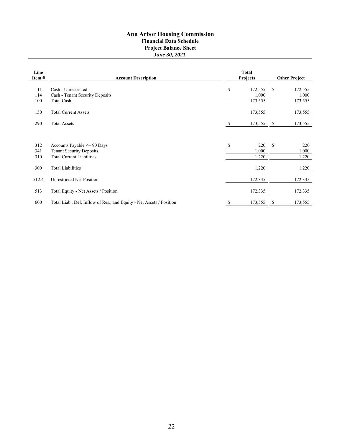#### **Ann Arbor Housing Commission Financial Data Schedule Project Balance Sheet** *June 30, 2021*

| Line<br>Item# | <b>Account Description</b>                                           |    | <b>Total</b><br>Projects |               | <b>Other Project</b> |
|---------------|----------------------------------------------------------------------|----|--------------------------|---------------|----------------------|
|               |                                                                      |    |                          |               |                      |
| 111<br>114    | Cash - Unrestricted<br>Cash - Tenant Security Deposits               | \$ | 172,555<br>1,000         | <sup>\$</sup> | 172,555<br>1,000     |
| 100           | Total Cash                                                           |    | 173,555                  |               | 173,555              |
|               |                                                                      |    |                          |               |                      |
| 150           | <b>Total Current Assets</b>                                          |    | 173,555                  |               | 173,555              |
| 290           | <b>Total Assets</b>                                                  |    | 173,555                  | S             | 173,555              |
|               |                                                                      |    |                          |               |                      |
| 312           | Accounts Payable $\leq$ 90 Days                                      | \$ | 220                      | <sup>\$</sup> | 220                  |
| 341           | <b>Tenant Security Deposits</b>                                      |    | 1,000                    |               | 1,000                |
| 310           | <b>Total Current Liabilities</b>                                     |    | 1,220                    |               | 1,220                |
| 300           | <b>Total Liabilities</b>                                             |    | 1,220                    |               | 1,220                |
| 512.4         | Unrestricted Net Position                                            |    | 172,335                  |               | 172,335              |
| 513           | Total Equity - Net Assets / Position                                 |    | 172,335                  |               | 172,335              |
|               |                                                                      |    |                          |               |                      |
| 600           | Total Liab., Def. Inflow of Res., and Equity - Net Assets / Position | S  | 173,555                  | Y.            | 173,555              |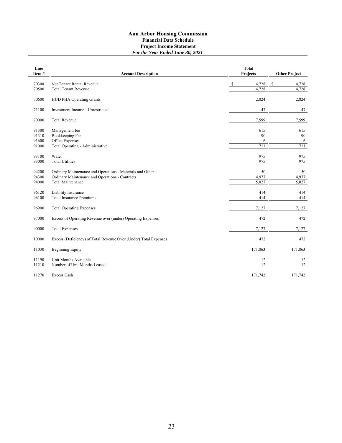#### **Ann Arbor Housing Commission Financial Data Schedule Project Income Statement** *For the Year Ended June 30, 2021*

| Line<br>Item# | <b>Account Description</b>                                       | <b>Total</b><br><b>Projects</b> | <b>Other Project</b> |
|---------------|------------------------------------------------------------------|---------------------------------|----------------------|
| 70300         | Net Tenant Rental Revenue                                        | $\mathbb{S}$<br>4,728           | \$<br>4,728          |
| 70500         | <b>Total Tenant Revenue</b>                                      | 4,728                           | 4,728                |
| 70600         | HUD PHA Operating Grants                                         | 2,824                           | 2,824                |
| 71100         | Investment Income - Unrestricted                                 | 47                              | 47                   |
| 70000         | <b>Total Revenue</b>                                             | 7,599                           | 7,599                |
| 91300         | Management fee                                                   | 615                             | 615                  |
| 91310         | <b>Bookkeeping Fee</b>                                           | 90                              | 90                   |
| 91600         | Office Expenses                                                  | 6                               | 6                    |
| 91000         | Total Operating - Administrative                                 | 711                             | 711                  |
| 93100         | Water                                                            | 975                             | 975                  |
| 93000         | <b>Total Utilities</b>                                           | 975                             | 975                  |
| 94200         | Ordinary Maintenance and Operations - Materials and Other        | 50                              | 50                   |
| 94300         | Ordinary Maintenance and Operations - Contracts                  | 4,977                           | 4,977                |
| 94000         | <b>Total Maintenance</b>                                         | 5,027                           | 5,027                |
| 96120         | Liability Insurance                                              | 414                             | 414                  |
| 96100         | <b>Total Insurance Premiums</b>                                  | 414                             | 414                  |
|               |                                                                  |                                 |                      |
| 96900         | <b>Total Operating Expenses</b>                                  | 7,127                           | 7,127                |
| 97000         | Excess of Operating Revenue over (under) Operating Expenses      | 472                             | 472                  |
| 90000         | <b>Total Expenses</b>                                            | 7,127                           | 7,127                |
| 10000         | Excess (Deficiency) of Total Revenue Over (Under) Total Expenses | 472                             | 472                  |
| 11030         | <b>Beginning Equity</b>                                          | 171,863                         | 171,863              |
| 11190         | Unit Months Available                                            | 12                              | 12                   |
| 11210         | Number of Unit Months Leased                                     | 12                              | 12                   |
| 11270         | Excess Cash                                                      | 171,742                         | 171,742              |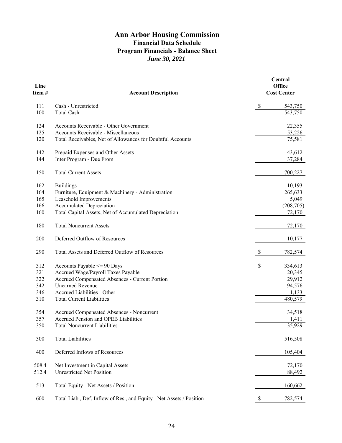## **Ann Arbor Housing Commission Financial Data Schedule Program Financials - Balance Sheet** *June 30, 2021*

| Line<br>Item# | <b>Account Description</b>                                           |                            | Central<br>Office<br><b>Cost Center</b> |
|---------------|----------------------------------------------------------------------|----------------------------|-----------------------------------------|
|               |                                                                      |                            |                                         |
| 111           | Cash - Unrestricted                                                  | $\boldsymbol{\mathcal{S}}$ | 543,750                                 |
| 100           | <b>Total Cash</b>                                                    |                            | 543,750                                 |
| 124           | Accounts Receivable - Other Government                               |                            | 22,355                                  |
| 125           | Accounts Receivable - Miscellaneous                                  |                            | 53,226                                  |
| 120           | Total Receivables, Net of Allowances for Doubtful Accounts           |                            | 75,581                                  |
|               |                                                                      |                            |                                         |
| 142           | Prepaid Expenses and Other Assets                                    |                            | 43,612                                  |
| 144           | Inter Program - Due From                                             |                            | 37,284                                  |
|               |                                                                      |                            |                                         |
| 150           | <b>Total Current Assets</b>                                          |                            | 700,227                                 |
| 162           |                                                                      |                            |                                         |
| 164           | <b>Buildings</b>                                                     |                            | 10,193<br>265,633                       |
| 165           | Furniture, Equipment & Machinery - Administration                    |                            | 5,049                                   |
|               | Leasehold Improvements                                               |                            |                                         |
| 166           | <b>Accumulated Depreciation</b>                                      |                            | (208, 705)                              |
| 160           | Total Capital Assets, Net of Accumulated Depreciation                |                            | 72,170                                  |
| 180           | <b>Total Noncurrent Assets</b>                                       |                            | 72,170                                  |
| 200           | Deferred Outflow of Resources                                        |                            | 10,177                                  |
| 290           | Total Assets and Deferred Outflow of Resources                       | \$                         | 782,574                                 |
|               |                                                                      |                            |                                         |
| 312           | Accounts Payable $\leq$ 90 Days                                      | \$                         | 334,613                                 |
| 321           | Accrued Wage/Payroll Taxes Payable                                   |                            | 20,345                                  |
| 322           | Accrued Compensated Absences - Current Portion                       |                            | 29,912                                  |
| 342           | <b>Unearned Revenue</b>                                              |                            | 94,576                                  |
| 346           | Accrued Liabilities - Other                                          |                            | 1,133                                   |
| 310           | <b>Total Current Liabilities</b>                                     |                            | 480,579                                 |
|               |                                                                      |                            |                                         |
| 354           | Accrued Compensated Absences - Noncurrent                            |                            | 34,518                                  |
| 357           | Accrued Pension and OPEB Liabilities                                 |                            | 1,411                                   |
| 350           | <b>Total Noncurrent Liabilities</b>                                  |                            | 35,929                                  |
| 300           | <b>Total Liabilities</b>                                             |                            | 516,508                                 |
|               |                                                                      |                            |                                         |
| 400           | Deferred Inflows of Resources                                        |                            | 105,404                                 |
| 508.4         | Net Investment in Capital Assets                                     |                            | 72,170                                  |
| 512.4         | <b>Unrestricted Net Position</b>                                     |                            | 88,492                                  |
|               |                                                                      |                            |                                         |
| 513           | Total Equity - Net Assets / Position                                 |                            | 160,662                                 |
| 600           | Total Liab., Def. Inflow of Res., and Equity - Net Assets / Position | \$                         | 782,574                                 |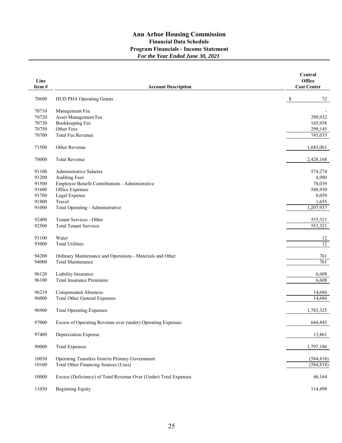#### **Ann Arbor Housing Commission Financial Data Schedule Program Financials - Income Statement** *For the Year Ended June 30, 2021*

| Line<br>Item# | <b>Account Description</b>                                       | Central<br>Office<br><b>Cost Center</b> |
|---------------|------------------------------------------------------------------|-----------------------------------------|
| 70600         | HUD PHA Operating Grants                                         | $\mathbb{S}$<br>72                      |
| 70710         | Management Fee                                                   |                                         |
| 70720         | Asset Management Fee                                             | 299,932                                 |
| 70730         | <b>Bookkeeping Fee</b>                                           | 145,958                                 |
| 70750         | Other Fees                                                       | 299,145                                 |
| 70700         | Total Fee Revenue                                                | 745,035                                 |
| 71500         | Other Revenue                                                    | 1,683,061                               |
| 70000         | <b>Total Revenue</b>                                             | 2,428,168                               |
| 91100         | <b>Administrative Salaries</b>                                   | 574,274                                 |
| 91200         | <b>Auditing Fees</b>                                             | 4,980                                   |
| 91500         | Employee Benefit Contributions - Administrative                  | 70,039                                  |
| 91600         | Office Expenses                                                  | 548,930                                 |
| 91700         | Legal Expense                                                    | 8,059                                   |
| 91800         | Travel                                                           | 1,655                                   |
| 91000         | Total Operating - Administrative                                 | 1,207,937                               |
| 92400         | Tenant Services - Other                                          | 553,321                                 |
| 92500         | <b>Total Tenant Services</b>                                     | 553,321                                 |
| 93100         | Water                                                            | 12                                      |
| 93000         | <b>Total Utilities</b>                                           | 12                                      |
| 94200         | Ordinary Maintenance and Operations - Materials and Other        | 761                                     |
| 94000         | <b>Total Maintenance</b>                                         | 761                                     |
| 96120         | Liability Insurance                                              | 6,608                                   |
| 96100         | <b>Total Insurance Premiums</b>                                  | 6,608                                   |
| 96210         | <b>Compensated Absences</b>                                      | 14,686                                  |
| 96000         | <b>Total Other General Expenses</b>                              | 14,686                                  |
| 96900         | <b>Total Operating Expenses</b>                                  | 1,783,325                               |
| 97000         | Excess of Operating Revenue over (under) Operating Expenses      | 644,843                                 |
| 97400         | Depreciation Expense                                             | 13,861                                  |
| 90000         | <b>Total Expenses</b>                                            | 1,797,186                               |
| 10030         | Operating Transfers from/to Primary Government                   | (584, 818)                              |
| 10100         | Total Other Financing Sources (Uses)                             | (584, 818)                              |
| 10000         | Excess (Deficiency) of Total Revenue Over (Under) Total Expenses | 46,164                                  |
| 11030         | <b>Beginning Equity</b>                                          | 114,498                                 |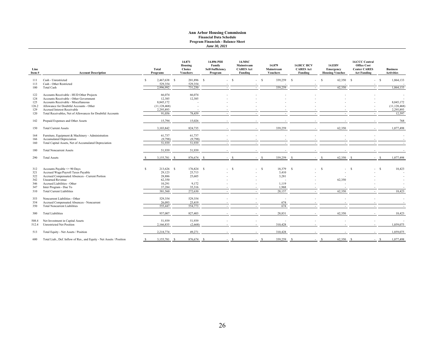#### **Ann Arbor Housing Commission Financial Data Schedule Program Financials - Balance Sheet** *June 30, 2021*

| Line<br>Item# | <b>Account Description</b>                                           |              | Total<br>Programs | 14.871<br>Housing<br>Choice<br><b>Vouchers</b> | 14.896 PIH<br>Family<br>Self-Sufficiency<br>Program | <b>14.MSC</b><br>Mainstream<br><b>CARES</b> Act<br>Funding |                | 14.879<br>Mainstream<br><b>Vouchers</b> | 14.HCC HCV<br><b>CARES Act</b><br>Funding | <b>14.EHV</b><br>Emergency<br><b>Housing Voucher</b> | 14.CCC Central<br><b>Office Cost</b><br><b>Center CARES</b><br><b>Act Funding</b> |       | <b>Business</b><br><b>Activities</b> |
|---------------|----------------------------------------------------------------------|--------------|-------------------|------------------------------------------------|-----------------------------------------------------|------------------------------------------------------------|----------------|-----------------------------------------|-------------------------------------------|------------------------------------------------------|-----------------------------------------------------------------------------------|-------|--------------------------------------|
| 111           | Cash - Unrestricted                                                  | \$           | 2,467,638 \$      | 201,896 \$                                     |                                                     | $- S$                                                      | $- S$          | 339,259                                 | $\mathbf{s}$                              | 62,350<br>$- S$                                      | $\mathbf{s}$                                                                      | $- S$ | 1,864,133                            |
| 113           | Cash - Other Restricted                                              |              | 529,354           | 529,354                                        |                                                     |                                                            |                |                                         |                                           |                                                      |                                                                                   |       |                                      |
| 100           | <b>Total Cash</b>                                                    |              | 2,996,992         | 731.250                                        |                                                     |                                                            |                | 339,259                                 |                                           | 62.350                                               |                                                                                   |       | 1,864,133                            |
|               |                                                                      |              |                   |                                                |                                                     |                                                            |                |                                         |                                           |                                                      |                                                                                   |       |                                      |
| 122           | Accounts Receivable - HUD Other Projects                             |              | 66,074            | 66,074                                         |                                                     |                                                            |                |                                         |                                           |                                                      |                                                                                   |       |                                      |
| 124           | Accounts Receivable - Other Government                               |              | 12,385            | 12,385                                         |                                                     |                                                            |                |                                         |                                           |                                                      |                                                                                   |       |                                      |
| 125           | Accounts Receivable - Miscellaneous                                  |              | 8,845,172         |                                                |                                                     |                                                            |                |                                         |                                           |                                                      |                                                                                   |       | 8,845,172                            |
| 126.2         | Allowance for Doubtful Accounts - Other                              |              | (11, 128, 468)    |                                                |                                                     |                                                            |                |                                         |                                           |                                                      |                                                                                   |       | (11, 128, 468)                       |
| 129           | Accrued Interest Receivable                                          |              | 2,295,893         |                                                |                                                     |                                                            |                |                                         |                                           |                                                      |                                                                                   |       | 2,295,893                            |
| 120           | Total Receivables, Net of Allowances for Doubtful Accounts           |              | 91,056            | 78,459                                         |                                                     |                                                            |                |                                         |                                           |                                                      |                                                                                   |       | 12,597                               |
|               |                                                                      |              |                   |                                                |                                                     |                                                            |                |                                         |                                           |                                                      |                                                                                   |       |                                      |
| 142           | Prepaid Expenses and Other Assets                                    |              | 15,794            | 15,026                                         |                                                     |                                                            |                |                                         |                                           |                                                      |                                                                                   |       | 768                                  |
| 150           | <b>Total Current Assets</b>                                          |              | 3,103,842         | 824,735                                        |                                                     |                                                            |                | 339,259                                 |                                           | 62,350                                               |                                                                                   |       | 1,877,498                            |
| 164           | Furniture, Equipment & Machinery - Administration                    |              | 61,737            | 61,737                                         |                                                     |                                                            |                |                                         |                                           |                                                      |                                                                                   |       |                                      |
| 166           | Accumulated Depreciation                                             |              | (9,798)           | (9,798)                                        |                                                     |                                                            |                |                                         |                                           |                                                      |                                                                                   |       |                                      |
| 160           | Total Capital Assets, Net of Accumulated Depreciation                |              | 51,939            | 51,939                                         |                                                     |                                                            |                |                                         |                                           |                                                      |                                                                                   |       |                                      |
|               |                                                                      |              |                   |                                                |                                                     |                                                            |                |                                         |                                           |                                                      |                                                                                   |       |                                      |
| 180           | <b>Total Noncurrent Assets</b>                                       |              | 51,939            | 51,939                                         |                                                     |                                                            |                |                                         |                                           |                                                      |                                                                                   |       |                                      |
| 290           | <b>Total Assets</b>                                                  |              | 3,155,781 \$      | 876,674 \$                                     |                                                     | $- S$                                                      | $- S$          | 339,259                                 | - S                                       | 62,350<br>$- S$                                      | S                                                                                 | $- S$ | 1,877,498                            |
| 312           | Accounts Payable $\leq$ 90 Days                                      | <sup>S</sup> | 213,626 \$        | 176,824 \$                                     |                                                     | - \$                                                       | - S<br>$\sim$  | 18,379 \$                               |                                           | <sup>S</sup>                                         | $-$ S                                                                             | - \$  | 18,423                               |
| 321           | Accrued Wage/Payroll Taxes Payable                                   |              | 29,123            | 25,713                                         |                                                     |                                                            |                | 3,410                                   |                                           |                                                      |                                                                                   |       |                                      |
| 322           | Accrued Compensated Absences - Current Portion                       |              | 28,886            | 25,605                                         |                                                     |                                                            |                | 3,281                                   |                                           |                                                      |                                                                                   |       |                                      |
| 342           | <b>Unearned Revenue</b>                                              |              | 62,350            |                                                |                                                     |                                                            |                |                                         |                                           | 62,350                                               |                                                                                   |       |                                      |
| 346           | Accrued Liabilities - Other                                          |              | 10,291            | 9,172                                          |                                                     |                                                            |                | 1,119                                   |                                           |                                                      |                                                                                   |       |                                      |
| 347           | Inter Program - Due To                                               |              | 37,284            | 35,316                                         |                                                     |                                                            |                | 1,968                                   |                                           |                                                      |                                                                                   |       |                                      |
| 310           | <b>Total Current Liabilities</b>                                     |              | 381,560           | 272,630                                        | $\sim$                                              |                                                            | $\sim$         | 28,157                                  |                                           | 62.350                                               |                                                                                   |       | 18,423                               |
|               |                                                                      |              |                   |                                                |                                                     |                                                            |                |                                         |                                           |                                                      |                                                                                   |       |                                      |
| 353           | Noncurrent Liabilities - Other                                       |              | 529,354           | 529,354                                        |                                                     |                                                            |                |                                         |                                           |                                                      |                                                                                   |       |                                      |
| 354           | Accrued Compensated Absences - Noncurrent                            |              | 26,093            | 25,419                                         |                                                     |                                                            |                | 674                                     |                                           |                                                      |                                                                                   |       |                                      |
| 350           | <b>Total Noncurrent Liabilities</b>                                  |              | 555,447           | 554,773                                        | $\sim$                                              |                                                            |                | 674                                     |                                           |                                                      |                                                                                   |       | $\sim$ $\sim$                        |
|               |                                                                      |              |                   |                                                |                                                     |                                                            |                |                                         |                                           |                                                      |                                                                                   |       |                                      |
| 300           | <b>Total Liabilities</b>                                             |              | 937,007           | 827,403                                        |                                                     |                                                            |                | 28,831                                  |                                           | 62,350                                               |                                                                                   |       | 18,423                               |
| 508.4         | Net Investment in Capital Assets                                     |              | 51,939            | 51,939                                         |                                                     |                                                            |                |                                         |                                           |                                                      |                                                                                   |       |                                      |
| 512.4         | <b>Unrestricted Net Position</b>                                     |              | 2,166,835         | (2,668)                                        |                                                     |                                                            |                | 310,428                                 |                                           |                                                      |                                                                                   |       | 1,859,075                            |
| 513           | Total Equity - Net Assets / Position                                 |              | 2,218,774         | 49,271                                         |                                                     |                                                            |                | 310,428                                 |                                           |                                                      |                                                                                   |       | 1,859,075                            |
| 600           | Total Liab., Def. Inflow of Res., and Equity - Net Assets / Position | -8           | 3,155,781 \$      | 876,674 \$                                     |                                                     | - \$<br>$\sim$                                             | - \$<br>$\sim$ | 339,259 \$                              |                                           | 62,350 \$<br>- \$<br>$\mathcal{L}^{\text{max}}$      |                                                                                   | $-$ S | 1,877,498                            |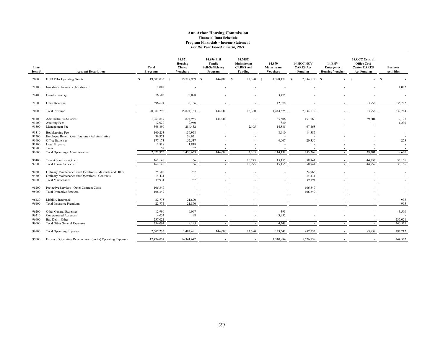#### **Ann Arbor Housing Commission Financial Data Schedule Program Financials - Income Statement** *For the Year Ended June 30, 2021*

| Line<br>Item# | <b>Account Description</b>                                  | Total<br>Programs  | 14.871<br>Housing<br>Choice<br><b>Vouchers</b> | 14.896 PIH<br>Family<br>Self-Sufficiency<br>Program | <b>14.MSC</b><br>Mainstream<br><b>CARES</b> Act<br>Funding | 14.879<br>Mainstream<br><b>Vouchers</b> | 14.HCC HCV<br><b>CARES</b> Act<br>Funding | <b>14.EHV</b><br>Emergency<br><b>Housing Voucher</b> | 14.CCC Central<br><b>Office Cost</b><br><b>Center CARES</b><br><b>Act Funding</b> | <b>Business</b><br><b>Activities</b> |
|---------------|-------------------------------------------------------------|--------------------|------------------------------------------------|-----------------------------------------------------|------------------------------------------------------------|-----------------------------------------|-------------------------------------------|------------------------------------------------------|-----------------------------------------------------------------------------------|--------------------------------------|
| 70600         | HUD PHA Operating Grants                                    | 19,307,033 \$<br>S | 15,717,969 \$                                  | 144,000 \$                                          | $12,380$ \$                                                | 1,398,172 \$                            | 2,034,512 \$                              |                                                      | $\mathcal{S}$<br>- S                                                              |                                      |
| 71100         | Investment Income - Unrestricted                            | 1,082              |                                                |                                                     |                                                            |                                         |                                           |                                                      |                                                                                   | 1,082                                |
| 71400         | Fraud Recovery                                              | 76,503             | 73,028                                         |                                                     |                                                            | 3,475                                   |                                           |                                                      |                                                                                   |                                      |
| 71500         | Other Revenue                                               | 696,674            | 33,136                                         |                                                     |                                                            | 42,878                                  |                                           |                                                      | 83,958                                                                            | 536,702                              |
| 70000         | <b>Total Revenue</b>                                        | 20,081,292         | 15,824,133                                     | 144,000                                             | 12,380                                                     | 1,444,525                               | 2,034,512                                 | $\sim$                                               | 83,958                                                                            | 537,784                              |
| 91100         | <b>Administrative Salaries</b>                              | 1,261,849          | 824,955                                        | 144,000                                             |                                                            | 85,506                                  | 151,060                                   |                                                      | 39,201                                                                            | 17,127                               |
| 91200         | <b>Auditing Fees</b>                                        | 12,020             | 9,960                                          |                                                     |                                                            | 830                                     |                                           |                                                      |                                                                                   | 1,230                                |
| 91300         | Management Fee                                              | 368,890            | 284,432                                        |                                                     | 2,105                                                      | 14,885                                  | 67,468                                    |                                                      |                                                                                   | $\sim$                               |
| 91310         | Bookkeeping Fee                                             | 160,253            | 136,958                                        |                                                     |                                                            | 8,910                                   | 14,385                                    |                                                      |                                                                                   |                                      |
| 91500         | Employee Benefit Contributions - Administrative             | 39,921             | 39,921                                         |                                                     |                                                            |                                         |                                           |                                                      |                                                                                   |                                      |
| 91600         | Office Expenses                                             | 177,173            | 152,537                                        |                                                     |                                                            | 4,007                                   | 20.356                                    |                                                      |                                                                                   | 273                                  |
| 91700         | Legal Expense                                               | 1,818              | 1,818                                          |                                                     |                                                            |                                         |                                           |                                                      |                                                                                   | $\overline{\phantom{a}}$             |
| 91800         | Travel                                                      | 52                 | 52                                             |                                                     |                                                            |                                         |                                           |                                                      |                                                                                   | $\sim$                               |
| 91000         | Total Operating - Administrative                            | 2,021,976          | 1,450,633                                      | 144,000                                             | 2,105                                                      | 114,138                                 | 253,269                                   |                                                      | 39,201                                                                            | 18,630                               |
| 92400         | Tenant Services - Other                                     | 162,140            | 56                                             |                                                     | 10,275                                                     | 15,155                                  | 58,741                                    |                                                      | 44,757                                                                            | 33,156                               |
| 92500         | <b>Total Tenant Services</b>                                | 162,140            | 56                                             |                                                     | 10,275                                                     | 15,155                                  | 58,741                                    |                                                      | 44,757                                                                            | 33,156                               |
|               |                                                             |                    |                                                |                                                     |                                                            |                                         |                                           |                                                      |                                                                                   |                                      |
| 94200         | Ordinary Maintenance and Operations - Materials and Other   | 25,500             | 737                                            |                                                     |                                                            |                                         | 24,763                                    |                                                      |                                                                                   |                                      |
| 94300         | Ordinary Maintenance and Operations - Contracts             | 14,431             |                                                |                                                     |                                                            |                                         | 14,431                                    |                                                      |                                                                                   |                                      |
| 94000         | Total Maintenance                                           | 39,931             | 737                                            |                                                     |                                                            |                                         | 39,194                                    |                                                      | $\overline{\phantom{a}}$                                                          |                                      |
|               |                                                             |                    |                                                |                                                     |                                                            |                                         |                                           |                                                      |                                                                                   |                                      |
| 95200         | Protective Services - Other Contract Costs                  | 106,349            |                                                |                                                     |                                                            |                                         | 106,349                                   |                                                      |                                                                                   |                                      |
| 95000         | <b>Total Protective Services</b>                            | 106,349            |                                                |                                                     |                                                            |                                         | 106,349                                   |                                                      | $\overline{\phantom{a}}$                                                          | $\sim$                               |
| 96120         | Liability Insurance                                         | 22,775             | 21,870                                         |                                                     |                                                            |                                         |                                           |                                                      |                                                                                   | 905                                  |
| 96100         | <b>Total Insurance Premiums</b>                             | 22,775             | 21,870                                         |                                                     |                                                            |                                         | $\overline{\phantom{a}}$                  |                                                      |                                                                                   | 905                                  |
|               |                                                             |                    |                                                |                                                     |                                                            |                                         |                                           |                                                      |                                                                                   |                                      |
| 96200         | Other General Expenses                                      | 12,990             | 9,097                                          |                                                     |                                                            | 393                                     |                                           |                                                      |                                                                                   | 3,500                                |
| 96210         | <b>Compensated Absences</b>                                 | 4,053              | 98                                             |                                                     |                                                            | 3,955                                   |                                           |                                                      |                                                                                   |                                      |
| 96600         | Bad Debt - Other                                            | 237,021            |                                                |                                                     |                                                            |                                         |                                           |                                                      |                                                                                   | 237,021                              |
| 96000         | <b>Total Other General Expenses</b>                         | 254,064            | 9,195                                          |                                                     |                                                            | 4,348                                   |                                           |                                                      | $\sim$                                                                            | 240,521                              |
| 96900         | <b>Total Operating Expenses</b>                             | 2,607,235          | 1,482,491                                      | 144,000                                             | 12,380                                                     | 133,641                                 | 457,553                                   |                                                      | 83,958                                                                            | 293,212                              |
| 97000         | Excess of Operating Revenue over (under) Operating Expenses | 17,474,057         | 14,341,642                                     |                                                     | $\sim$                                                     | 1,310,884                               | 1,576,959                                 |                                                      |                                                                                   | 244,572                              |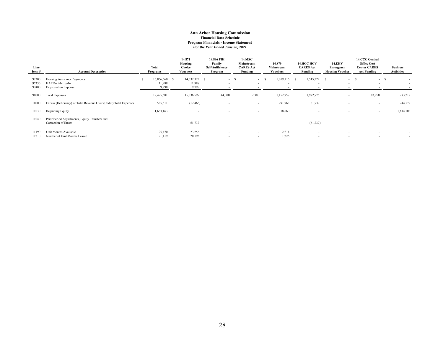#### **Ann Arbor Housing Commission Financial Data Schedule Program Financials - Income Statement** *For the Year Ended June 30, 2021*

| Line<br>Item #          | <b>Account Description</b>                                                | Total<br>Programs |                                  | 14.871<br>Housing<br>Choice<br><b>Vouchers</b> | 14.896 PIH<br>Family<br>Self-Sufficiency<br>Program  |        | <b>14.MSC</b><br>Mainstream<br><b>CARES</b> Act<br>Funding | 14.879<br>Mainstream<br>Vouchers      | <b>14.HCC HCV</b><br><b>CARES</b> Act<br>Funding | <b>14.EHV</b><br>Emergency<br><b>Housing Voucher</b> | 14.CCC Central<br><b>Office Cost</b><br><b>Center CARES</b><br><b>Act Funding</b> | <b>Business</b><br><b>Activities</b> |                                    |
|-------------------------|---------------------------------------------------------------------------|-------------------|----------------------------------|------------------------------------------------|------------------------------------------------------|--------|------------------------------------------------------------|---------------------------------------|--------------------------------------------------|------------------------------------------------------|-----------------------------------------------------------------------------------|--------------------------------------|------------------------------------|
| 97300<br>97350<br>97400 | Housing Assistance Payments<br>HAP Portability-In<br>Depreciation Expense |                   | 16,866,660 \$<br>11,988<br>9,798 | 14,332,322 \$<br>11,988<br>9,798               | $\overline{\phantom{a}}$                             | $\sim$ | - S<br>$\overline{\phantom{a}}$                            | 1,019,116<br>$\overline{\phantom{0}}$ | 1,515,222 \$<br>$\sim$                           | $\overline{\phantom{a}}$                             | $-$ \$<br>$\sim$ 100 $\pm$<br>$\overline{\phantom{a}}$                            | - \$                                 | $\overline{\phantom{0}}$<br>$\sim$ |
| 90000                   | <b>Total Expenses</b>                                                     |                   | 19,495,681                       | 15,836,599                                     | 144,000                                              |        | 12,380                                                     | 1,152,757                             | 1,972,775                                        |                                                      | 83,958                                                                            | 293,212                              |                                    |
| 10000                   | Excess (Deficiency) of Total Revenue Over (Under) Total Expenses          |                   | 585,611                          | (12, 466)                                      | $\overline{\phantom{a}}$                             |        | $\sim$                                                     | 291,768                               | 61,737                                           | $\overline{\phantom{a}}$                             | $\overline{\phantom{a}}$                                                          | 244,572                              |                                    |
| 11030                   | <b>Beginning Equity</b>                                                   |                   | 1,633,163                        | $\overline{\phantom{a}}$                       | <b>.</b>                                             |        | $\overline{\phantom{a}}$                                   | 18,660                                | $\sim$                                           | $\overline{\phantom{a}}$                             | $\sim$                                                                            | 1,614,503                            |                                    |
| 11040                   | Prior Period Adjustments, Equity Transfers and<br>Correction of Errors    |                   | $\sim$                           | 61,737                                         | $\overline{\phantom{a}}$                             |        |                                                            | $\overline{\phantom{0}}$              | (61, 737)                                        | $\overline{\phantom{a}}$                             |                                                                                   |                                      |                                    |
| 11190<br>11210          | Unit Months Available<br>Number of Unit Months Leased                     |                   | 25,470<br>21,419                 | 23,256<br>20,193                               | $\overline{\phantom{a}}$<br>$\overline{\phantom{a}}$ |        | $\overline{\phantom{a}}$<br>$\sim$                         | 2,214<br>1,226                        | $\sim$<br>$\overline{\phantom{a}}$               | $\overline{\phantom{a}}$<br>$\overline{\phantom{a}}$ | $\overline{\phantom{0}}$                                                          |                                      | $\overline{\phantom{a}}$<br>$\sim$ |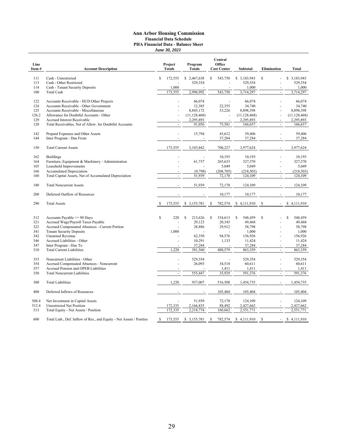#### **Ann Arbor Housing Commission Financial Data Schedule PHA Financial Data - Balance Sheet** *June 30, 2021*

| Line<br>Item# | <b>Account Description</b>                                           |   | Project<br><b>Totals</b> | Program<br><b>Totals</b> |    | Central<br>Office<br><b>Cost Center</b> | Subtotal           | Elimination                    | Total              |
|---------------|----------------------------------------------------------------------|---|--------------------------|--------------------------|----|-----------------------------------------|--------------------|--------------------------------|--------------------|
|               |                                                                      |   |                          |                          |    |                                         |                    |                                |                    |
| 111           | Cash - Unrestricted                                                  | S | 172,555                  | \$2,467,638              | \$ | 543,750                                 | \$ 3,183,943       | \$                             | \$ 3,183,943       |
| 113           | Cash - Other Restricted                                              |   |                          | 529,354                  |    |                                         | 529,354            |                                | 529,354            |
| 114<br>100    | Cash - Tenant Security Deposits                                      |   | 1,000<br>173,555         | 2.996.992                |    | 543,750                                 | 1,000<br>3,714,297 | ÷,                             | 1,000<br>3,714,297 |
|               | <b>Total Cash</b>                                                    |   |                          |                          |    |                                         |                    |                                |                    |
| 122           | Accounts Receivable - HUD Other Projects                             |   |                          | 66,074                   |    | $\overline{a}$                          | 66,074             |                                | 66,074             |
| 124           | Accounts Receivable - Other Government                               |   |                          | 12,385                   |    | 22,355                                  | 34,740             |                                | 34,740             |
| 125           | Accounts Receivable - Miscellaneous                                  |   |                          | 8,845,172                |    | 53,226                                  | 8,898,398          | ÷,                             | 8,898,398          |
| 126.2         | Allowance for Doubtful Accounts - Other                              |   |                          | (11, 128, 468)           |    |                                         | (11, 128, 468)     |                                | (11, 128, 468)     |
| 129           | <b>Accrued Interest Receivable</b>                                   |   |                          | 2,295,893                |    |                                         | 2,295,893          |                                | 2,295,893          |
| 120           | Total Receivables, Net of Allow. for Doubtful Accounts               |   | ÷.                       | 91,056                   |    | 75,581                                  | 166,637            | ä,                             | 166,637            |
| 142           | Prepaid Expenses and Other Assets                                    |   |                          | 15,794                   |    | 43,612                                  | 59,406             |                                | 59,406             |
| 144           | Inter Program - Due From                                             |   |                          |                          |    | 37,284                                  | 37,284             |                                | 37,284             |
|               |                                                                      |   |                          |                          |    |                                         |                    |                                |                    |
| 150           | <b>Total Current Assets</b>                                          |   | 173,555                  | 3,103,842                |    | 700,227                                 | 3,977,624          |                                | 3,977,624          |
| 162           | <b>Buildings</b>                                                     |   |                          | ÷,                       |    | 10,193                                  | 10,193             |                                | 10,193             |
| 164           | Furniture, Equipment & Machinery - Administration                    |   |                          | 61,737                   |    | 265,633                                 | 327,370            |                                | 327,370            |
| 165           | Leasehold Improvements                                               |   |                          |                          |    | 5,049                                   | 5,049              |                                | 5,049              |
| 166           | <b>Accumulated Depreciation</b>                                      |   |                          | (9,798)                  |    | (208, 705)                              | (218, 503)         |                                | (218, 503)         |
| 160           | Total Capital Assets, Net of Accumulated Depreciation                |   | ÷,                       | 51.939                   |    | 72,170                                  | 124,109            |                                | 124,109            |
| 180           | <b>Total Noncurrent Assets</b>                                       |   |                          | 51,939                   |    | 72,170                                  | 124,109            |                                | 124,109            |
| 200           | Deferred Outflow of Resources                                        |   |                          |                          |    | 10,177                                  | 10,177             |                                | 10,177             |
| 290           | <b>Total Assets</b>                                                  |   | 173,555                  | s<br>3,155,781           | S  | 782,574                                 | 4,111,910<br>s     | \$                             | \$<br>4,111,910    |
|               |                                                                      |   |                          |                          |    |                                         |                    |                                |                    |
| 312           | Accounts Payable $\leq$ 90 Days                                      | S | 220                      | S<br>213,626             | \$ | 334,613                                 | 548,459<br>S       | \$                             | S<br>548,459       |
| 321           | Accrued Wage/Payroll Taxes Payable                                   |   |                          | 29.123                   |    | 20,345                                  | 49,468             |                                | 49,468             |
| 322           | Accrued Compensated Absences - Current Portion                       |   |                          | 28,886                   |    | 29,912                                  | 58,798             |                                | 58,798             |
| 341           | <b>Tenant Security Deposits</b>                                      |   | 1,000                    |                          |    |                                         | 1,000              |                                | 1,000              |
| 342           | <b>Unearned Revenue</b>                                              |   |                          | 62,350                   |    | 94,576                                  | 156,926            |                                | 156,926            |
| 346           | Accrued Liabilities - Other                                          |   |                          | 10,291                   |    | 1,133                                   | 11,424             |                                | 11,424             |
| 347           | Inter Program - Due To                                               |   |                          | 37,284                   |    |                                         | 37,284             |                                | 37,284             |
| 310           | <b>Total Current Liabilities</b>                                     |   | 1,220                    | 381,560                  |    | 480,579                                 | 863,359            |                                | 863,359            |
| 353           | Noncurrent Liabilities - Other                                       |   |                          | 529,354                  |    |                                         | 529,354            | L,                             | 529,354            |
| 354           | Accrued Compensated Absences - Noncurrent                            |   |                          | 26,093                   |    | 34,518                                  | 60,611             | ä,                             | 60,611             |
| 357           | Accrued Pension and OPEB Liabilities                                 |   |                          |                          |    | 1,411                                   | 1,411              | $\overline{a}$                 | 1,411              |
| 350           | <b>Total Noncurrent Liabilities</b>                                  |   | $\blacksquare$           | 555,447                  |    | 35,929                                  | 591,376            | ÷,                             | 591,376            |
| 300           | <b>Total Liabilities</b>                                             |   | 1,220                    | 937,007                  |    | 516,508                                 | 1,454,735          |                                | 1,454,735          |
|               |                                                                      |   |                          |                          |    |                                         |                    |                                |                    |
| 400           | Deferred Inflows of Resources                                        |   |                          |                          |    | 105,404                                 | 105,404            |                                | 105,404            |
| 508.4         | Net Investment in Capital Assets                                     |   |                          | 51,939                   |    | 72,170                                  | 124,109            |                                | 124,109            |
| 512.4         | <b>Unrestricted Net Position</b>                                     |   | 172,335                  | 2,166,835                |    | 88,492                                  | 2,427,662          |                                | 2,427,662          |
| 513           | Total Equity - Net Assets / Position                                 |   | 172,335                  | 2,218,774                |    | 160,662                                 | 2,551,771          | ÷,                             | 2,551,771          |
| 600           | Total Liab., Def. Inflow of Res., and Equity - Net Assets / Position |   | 173,555                  | \$3,155,781              | S  | 782,574                                 | \$4,111,910        | \$<br>$\overline{\phantom{a}}$ | \$4,111,910        |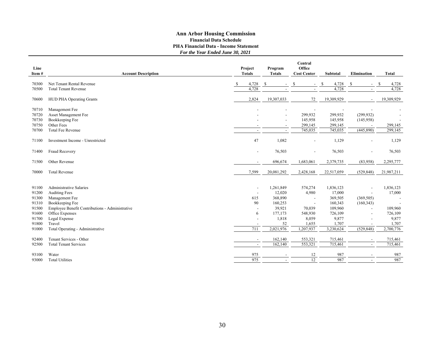#### **Ann Arbor Housing Commission Financial Data Schedule PHA Financial Data - Income Statement** *For the Year Ended June 30, 2021*

| Line<br>Item#  | <b>Account Description</b>                      |    | Project<br><b>Totals</b> | Program<br><b>Totals</b>       | Central<br>Office<br><b>Cost Center</b> | Subtotal           | Elimination              | <b>Total</b>       |  |
|----------------|-------------------------------------------------|----|--------------------------|--------------------------------|-----------------------------------------|--------------------|--------------------------|--------------------|--|
| 70300          | Net Tenant Rental Revenue                       | -S | 4,728                    | -S<br>$\overline{\phantom{a}}$ | -\$                                     | -S<br>4,728        | $\mathcal{S}$            | 4,728<br>-S        |  |
| 70500          | <b>Total Tenant Revenue</b>                     |    | 4.728                    |                                |                                         | 4.728              |                          | 4,728              |  |
| 70600          | HUD PHA Operating Grants                        |    | 2,824                    | 19,307,033                     | 72                                      | 19,309,929         |                          | 19,309,929         |  |
| 70710          | Management Fee                                  |    |                          |                                |                                         |                    |                          |                    |  |
| 70720          | Asset Management Fee                            |    |                          |                                | 299,932                                 | 299,932            | (299, 932)               |                    |  |
| 70730          | Bookkeeping Fee                                 |    |                          | $\overline{\phantom{a}}$       | 145,958                                 | 145,958            | (145,958)                |                    |  |
| 70750          | Other Fees                                      |    |                          | $\overline{\phantom{a}}$       | 299,145                                 | 299,145            | $\blacksquare$           | 299,145            |  |
| 70700          | <b>Total Fee Revenue</b>                        |    | $\overline{\phantom{a}}$ |                                | 745,035                                 | 745,035            | (445, 890)               | 299,145            |  |
| 71100          | Investment Income - Unrestricted                |    | 47                       | 1,082                          |                                         | 1,129              |                          | 1,129              |  |
| 71400          | Fraud Recovery                                  |    |                          | 76,503                         |                                         | 76,503             |                          | 76,503             |  |
| 71500          | Other Revenue                                   |    |                          | 696,674                        | 1,683,061                               | 2,379,735          | (83,958)                 | 2,295,777          |  |
| 70000          | <b>Total Revenue</b>                            |    | 7,599                    | 20,081,292                     | 2,428,168                               | 22,517,059         | (529, 848)               | 21,987,211         |  |
|                |                                                 |    |                          |                                |                                         |                    |                          |                    |  |
| 91100          | <b>Administrative Salaries</b>                  |    | $\overline{\phantom{a}}$ | 1,261,849                      | 574,274                                 | 1,836,123          |                          | 1,836,123          |  |
| 91200          | <b>Auditing Fees</b>                            |    | $\overline{a}$           | 12,020                         | 4,980                                   | 17,000             |                          | 17,000             |  |
| 91300          | Management Fee                                  |    | 615                      | 368,890                        | $\overline{\phantom{a}}$                | 369,505            | (369, 505)               |                    |  |
| 91310          | Bookkeeping Fee                                 |    | 90                       | 160,253                        |                                         | 160,343            | (160, 343)               |                    |  |
| 91500          | Employee Benefit Contributions - Administrative |    | $\overline{\phantom{a}}$ | 39,921                         | 70,039                                  | 109,960            |                          | 109,960            |  |
| 91600          | Office Expenses                                 |    | 6                        | 177,173                        | 548,930                                 | 726,109            |                          | 726,109            |  |
| 91700          | Legal Expense                                   |    |                          | 1,818                          | 8,059                                   | 9,877              |                          | 9,877              |  |
| 91800<br>91000 | Travel<br>Total Operating - Administrative      |    | 711                      | 52<br>2,021,976                | 1,655<br>1,207,937                      | 1,707<br>3,230,624 | (529, 848)               | 1,707<br>2,700,776 |  |
|                |                                                 |    |                          |                                |                                         |                    |                          |                    |  |
| 92400          | Tenant Services - Other                         |    |                          | 162,140                        | 553,321                                 | 715,461            | $\overline{\phantom{a}}$ | 715,461            |  |
| 92500          | <b>Total Tenant Services</b>                    |    | $\overline{\phantom{a}}$ | 162,140                        | 553,321                                 | 715,461            | $\overline{\phantom{a}}$ | 715,461            |  |
| 93100          | Water                                           |    | 975                      |                                | 12                                      | 987                |                          | 987                |  |
| 93000          | <b>Total Utilities</b>                          |    | 975                      |                                | 12                                      | 987                |                          | 987                |  |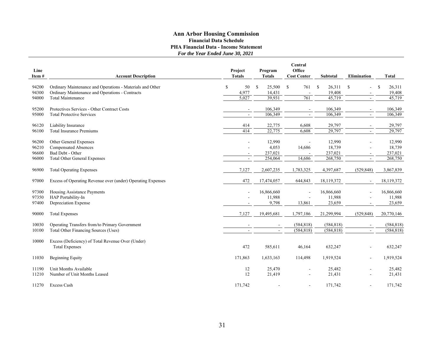#### **Ann Arbor Housing Commission Financial Data Schedule PHA Financial Data - Income Statement** *For the Year Ended June 30, 2021*

| Line  |                                                             | Project        |   | Program        | Central<br>Office    |                        |                          |              |
|-------|-------------------------------------------------------------|----------------|---|----------------|----------------------|------------------------|--------------------------|--------------|
| Item# | <b>Account Description</b>                                  | <b>Totals</b>  |   | <b>Totals</b>  | <b>Cost Center</b>   | Subtotal               | <b>Elimination</b>       | <b>Total</b> |
| 94200 | Ordinary Maintenance and Operations - Materials and Other   | \$<br>50       | S | 25,500         | <sup>\$</sup><br>761 | $\mathbb{S}$<br>26,311 | <sup>\$</sup>            | \$<br>26,311 |
| 94300 | Ordinary Maintenance and Operations - Contracts             | 4,977          |   | 14,431         |                      | 19,408                 |                          | 19,408       |
| 94000 | <b>Total Maintenance</b>                                    | 5,027          |   | 39,931         | 761                  | 45,719                 | $\overline{\phantom{a}}$ | 45,719       |
|       |                                                             |                |   |                |                      |                        |                          |              |
| 95200 | Protectives Services - Other Contract Costs                 |                |   | 106,349        |                      | 106,349                |                          | 106,349      |
| 95000 | <b>Total Protective Services</b>                            | $\blacksquare$ |   | 106,349        | $\blacksquare$       | 106,349                | $\mathbb{L}^2$           | 106,349      |
|       |                                                             |                |   |                |                      |                        |                          |              |
| 96120 | Liability Insurance                                         | 414            |   | 22,775         | 6,608                | 29,797                 |                          | 29,797       |
| 96100 | <b>Total Insurance Premiums</b>                             | 414            |   | 22,775         | 6,608                | 29,797                 |                          | 29,797       |
|       |                                                             |                |   |                |                      |                        |                          |              |
| 96200 | Other General Expenses                                      |                |   | 12,990         |                      | 12,990                 |                          | 12,990       |
| 96210 | <b>Compensated Absences</b>                                 |                |   | 4,053          | 14,686               | 18,739                 |                          | 18,739       |
| 96600 | Bad Debt - Other                                            |                |   | 237,021        |                      | 237,021                |                          | 237,021      |
| 96000 | <b>Total Other General Expenses</b>                         | $\sim$         |   | 254,064        | 14,686               | 268,750                |                          | 268,750      |
|       |                                                             |                |   |                |                      |                        |                          |              |
| 96900 | <b>Total Operating Expenses</b>                             | 7,127          |   | 2,607,235      | 1,783,325            | 4,397,687              | (529, 848)               | 3,867,839    |
|       |                                                             |                |   |                |                      |                        |                          |              |
| 97000 | Excess of Operating Revenue over (under) Operating Expenses | 472            |   | 17,474,057     | 644,843              | 18,119,372             | ٠                        | 18,119,372   |
|       |                                                             |                |   |                |                      |                        |                          |              |
| 97300 | Housing Assistance Payments                                 |                |   | 16,866,660     |                      | 16,866,660             |                          | 16,866,660   |
| 97350 | HAP Portability-In                                          |                |   | 11,988         |                      | 11,988                 |                          | 11,988       |
| 97400 | Depreciation Expense                                        |                |   | 9,798          | 13,861               | 23,659                 |                          | 23,659       |
|       |                                                             |                |   |                |                      |                        |                          |              |
| 90000 | <b>Total Expenses</b>                                       | 7,127          |   | 19,495,681     | 1,797,186            | 21,299,994             | (529, 848)               | 20,770,146   |
|       |                                                             |                |   |                |                      |                        |                          |              |
| 10030 | Operating Transfers from/to Primary Government              |                |   |                | (584, 818)           | (584, 818)             |                          | (584, 818)   |
| 10100 | Total Other Financing Sources (Uses)                        | $\sim$         |   | $\blacksquare$ | (584, 818)           | (584, 818)             | $\mathbb{L}^2$           | (584, 818)   |
|       |                                                             |                |   |                |                      |                        |                          |              |
| 10000 | Excess (Deficiency) of Total Revenue Over (Under)           |                |   |                |                      |                        |                          |              |
|       | <b>Total Expenses</b>                                       | 472            |   | 585,611        | 46,164               | 632,247                |                          | 632,247      |
|       |                                                             |                |   |                |                      |                        |                          |              |
| 11030 | <b>Beginning Equity</b>                                     | 171,863        |   | 1,633,163      | 114,498              | 1,919,524              |                          | 1,919,524    |
|       |                                                             |                |   |                |                      |                        |                          |              |
| 11190 | Unit Months Available                                       | 12             |   | 25,470         |                      | 25,482                 |                          | 25,482       |
| 11210 | Number of Unit Months Leased                                | 12             |   | 21,419         |                      | 21,431                 | ٠                        | 21,431       |
|       |                                                             |                |   |                |                      |                        |                          |              |
| 11270 | Excess Cash                                                 | 171,742        |   |                |                      | 171,742                |                          | 171,742      |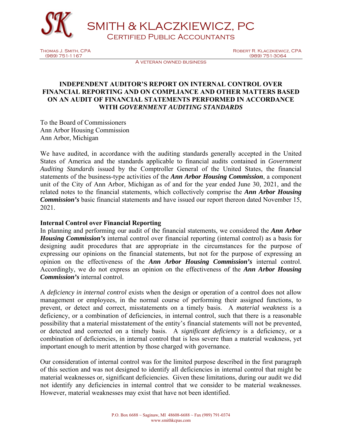

SMITH & KLACZKIEWICZ, PC Certified Public Accountants

(989) 751-1167

Thomas J. Smith, CPA Robert R. Klaczkiewicz, CPA Robert R. Klaczkiewicz, CPA Robert R. Klaczkiewicz, CPA Robert R. Klaczkiewicz, CPA (989)

A veteran owned business

## **INDEPENDENT AUDITOR'S REPORT ON INTERNAL CONTROL OVER FINANCIAL REPORTING AND ON COMPLIANCE AND OTHER MATTERS BASED ON AN AUDIT OF FINANCIAL STATEMENTS PERFORMED IN ACCORDANCE WITH** *GOVERNMENT AUDITING STANDARDS*

To the Board of Commissioners Ann Arbor Housing Commission Ann Arbor, Michigan

We have audited, in accordance with the auditing standards generally accepted in the United States of America and the standards applicable to financial audits contained in *Government Auditing Standards* issued by the Comptroller General of the United States, the financial statements of the business-type activities of the *Ann Arbor Housing Commission*, a component unit of the City of Ann Arbor, Michigan as of and for the year ended June 30, 2021, and the related notes to the financial statements, which collectively comprise the *Ann Arbor Housing Commission's* basic financial statements and have issued our report thereon dated November 15, 2021.

## **Internal Control over Financial Reporting**

In planning and performing our audit of the financial statements, we considered the *Ann Arbor Housing Commission's* internal control over financial reporting (internal control) as a basis for designing audit procedures that are appropriate in the circumstances for the purpose of expressing our opinions on the financial statements, but not for the purpose of expressing an opinion on the effectiveness of the *Ann Arbor Housing Commission's* internal control. Accordingly, we do not express an opinion on the effectiveness of the *Ann Arbor Housing Commission's* internal control.

A *deficiency in internal control* exists when the design or operation of a control does not allow management or employees, in the normal course of performing their assigned functions, to prevent, or detect and correct, misstatements on a timely basis. A *material weakness* is a deficiency, or a combination of deficiencies, in internal control, such that there is a reasonable possibility that a material misstatement of the entity's financial statements will not be prevented, or detected and corrected on a timely basis. A *significant deficiency* is a deficiency, or a combination of deficiencies, in internal control that is less severe than a material weakness, yet important enough to merit attention by those charged with governance.

Our consideration of internal control was for the limited purpose described in the first paragraph of this section and was not designed to identify all deficiencies in internal control that might be material weaknesses or, significant deficiencies. Given these limitations, during our audit we did not identify any deficiencies in internal control that we consider to be material weaknesses. However, material weaknesses may exist that have not been identified.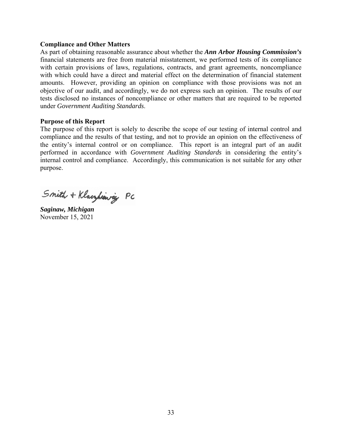#### **Compliance and Other Matters**

As part of obtaining reasonable assurance about whether the *Ann Arbor Housing Commission's* financial statements are free from material misstatement, we performed tests of its compliance with certain provisions of laws, regulations, contracts, and grant agreements, noncompliance with which could have a direct and material effect on the determination of financial statement amounts. However, providing an opinion on compliance with those provisions was not an objective of our audit, and accordingly, we do not express such an opinion. The results of our tests disclosed no instances of noncompliance or other matters that are required to be reported under *Government Auditing Standards*.

#### **Purpose of this Report**

The purpose of this report is solely to describe the scope of our testing of internal control and compliance and the results of that testing, and not to provide an opinion on the effectiveness of the entity's internal control or on compliance. This report is an integral part of an audit performed in accordance with *Government Auditing Standards* in considering the entity's internal control and compliance. Accordingly, this communication is not suitable for any other purpose.

Smith + Klacyhiavie PC

*Saginaw, Michigan*  November 15, 2021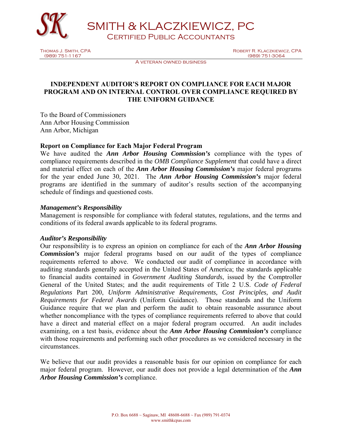

SMITH & KLACZKIEWICZ, PC Certified Public Accountants

Thomas J. Smith, CPA Robert R. Klaczkiewicz, CPA Robert R. Klaczkiewicz, CPA Robert R. Klaczkiewicz, CPA (989)<br>1989) 751-3064 (989) 751-3064 (989) 751-3064

A veteran owned business

## **INDEPENDENT AUDITOR'S REPORT ON COMPLIANCE FOR EACH MAJOR PROGRAM AND ON INTERNAL CONTROL OVER COMPLIANCE REQUIRED BY THE UNIFORM GUIDANCE**

To the Board of Commissioners Ann Arbor Housing Commission Ann Arbor, Michigan

## **Report on Compliance for Each Major Federal Program**

We have audited the *Ann Arbor Housing Commission's* compliance with the types of compliance requirements described in the *OMB Compliance Supplement* that could have a direct and material effect on each of the *Ann Arbor Housing Commission's* major federal programs for the year ended June 30, 2021. The *Ann Arbor Housing Commission's* major federal programs are identified in the summary of auditor's results section of the accompanying schedule of findings and questioned costs.

## *Management's Responsibility*

Management is responsible for compliance with federal statutes, regulations, and the terms and conditions of its federal awards applicable to its federal programs.

## *Auditor's Responsibility*

Our responsibility is to express an opinion on compliance for each of the *Ann Arbor Housing Commission's* major federal programs based on our audit of the types of compliance requirements referred to above. We conducted our audit of compliance in accordance with auditing standards generally accepted in the United States of America; the standards applicable to financial audits contained in *Government Auditing Standards*, issued by the Comptroller General of the United States; and the audit requirements of Title 2 U.S. *Code of Federal Regulations* Part 200, *Uniform Administrative Requirements, Cost Principles, and Audit Requirements for Federal Awards* (Uniform Guidance). Those standards and the Uniform Guidance require that we plan and perform the audit to obtain reasonable assurance about whether noncompliance with the types of compliance requirements referred to above that could have a direct and material effect on a major federal program occurred. An audit includes examining, on a test basis, evidence about the *Ann Arbor Housing Commission's* compliance with those requirements and performing such other procedures as we considered necessary in the circumstances.

We believe that our audit provides a reasonable basis for our opinion on compliance for each major federal program. However, our audit does not provide a legal determination of the *Ann Arbor Housing Commission's* compliance.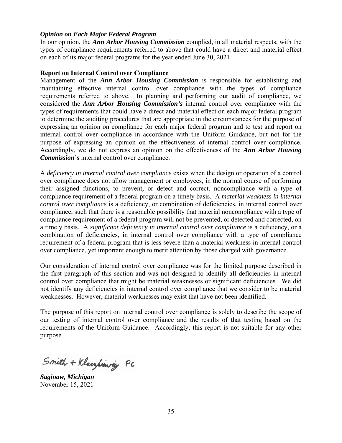#### *Opinion on Each Major Federal Program*

In our opinion, the *Ann Arbor Housing Commission* complied, in all material respects, with the types of compliance requirements referred to above that could have a direct and material effect on each of its major federal programs for the year ended June 30, 2021.

#### **Report on Internal Control over Compliance**

Management of the *Ann Arbor Housing Commission* is responsible for establishing and maintaining effective internal control over compliance with the types of compliance requirements referred to above. In planning and performing our audit of compliance, we considered the *Ann Arbor Housing Commission's* internal control over compliance with the types of requirements that could have a direct and material effect on each major federal program to determine the auditing procedures that are appropriate in the circumstances for the purpose of expressing an opinion on compliance for each major federal program and to test and report on internal control over compliance in accordance with the Uniform Guidance, but not for the purpose of expressing an opinion on the effectiveness of internal control over compliance. Accordingly, we do not express an opinion on the effectiveness of the *Ann Arbor Housing Commission's* internal control over compliance.

A *deficiency in internal control over compliance* exists when the design or operation of a control over compliance does not allow management or employees, in the normal course of performing their assigned functions, to prevent, or detect and correct, noncompliance with a type of compliance requirement of a federal program on a timely basis. A *material weakness in internal control over compliance* is a deficiency, or combination of deficiencies, in internal control over compliance, such that there is a reasonable possibility that material noncompliance with a type of compliance requirement of a federal program will not be prevented, or detected and corrected, on a timely basis. A *significant deficiency in internal control over compliance* is a deficiency, or a combination of deficiencies, in internal control over compliance with a type of compliance requirement of a federal program that is less severe than a material weakness in internal control over compliance, yet important enough to merit attention by those charged with governance.

Our consideration of internal control over compliance was for the limited purpose described in the first paragraph of this section and was not designed to identify all deficiencies in internal control over compliance that might be material weaknesses or significant deficiencies. We did not identify any deficiencies in internal control over compliance that we consider to be material weaknesses. However, material weaknesses may exist that have not been identified.

The purpose of this report on internal control over compliance is solely to describe the scope of our testing of internal control over compliance and the results of that testing based on the requirements of the Uniform Guidance. Accordingly, this report is not suitable for any other purpose.

Smith + Klacyhiavie PC

*Saginaw, Michigan*  November 15, 2021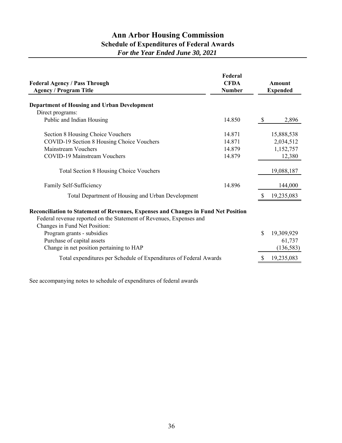## **Ann Arbor Housing Commission Schedule of Expenditures of Federal Awards** *For the Year Ended June 30, 2021*

| <b>Federal Agency / Pass Through</b><br><b>Agency / Program Title</b>                                                                                                                                                                                                                                     | Federal<br><b>CFDA</b><br><b>Number</b> | Amount<br><b>Expended</b> |                                    |
|-----------------------------------------------------------------------------------------------------------------------------------------------------------------------------------------------------------------------------------------------------------------------------------------------------------|-----------------------------------------|---------------------------|------------------------------------|
| Department of Housing and Urban Development                                                                                                                                                                                                                                                               |                                         |                           |                                    |
| Direct programs:<br>Public and Indian Housing                                                                                                                                                                                                                                                             | 14.850                                  | $\mathcal{S}$             | 2,896                              |
| Section 8 Housing Choice Vouchers                                                                                                                                                                                                                                                                         | 14.871                                  |                           | 15,888,538                         |
| COVID-19 Section 8 Housing Choice Vouchers                                                                                                                                                                                                                                                                | 14.871                                  |                           | 2,034,512                          |
| <b>Mainstream Vouchers</b>                                                                                                                                                                                                                                                                                | 14.879                                  |                           | 1,152,757                          |
| COVID-19 Mainstream Vouchers                                                                                                                                                                                                                                                                              | 14.879                                  |                           | 12,380                             |
| <b>Total Section 8 Housing Choice Vouchers</b>                                                                                                                                                                                                                                                            |                                         |                           | 19,088,187                         |
| Family Self-Sufficiency                                                                                                                                                                                                                                                                                   | 14.896                                  |                           | 144,000                            |
| Total Department of Housing and Urban Development                                                                                                                                                                                                                                                         |                                         |                           | 19,235,083                         |
| <b>Reconciliation to Statement of Revenues, Expenses and Changes in Fund Net Position</b><br>Federal revenue reported on the Statement of Revenues, Expenses and<br>Changes in Fund Net Position:<br>Program grants - subsidies<br>Purchase of capital assets<br>Change in net position pertaining to HAP |                                         | \$                        | 19,309,929<br>61,737<br>(136, 583) |
|                                                                                                                                                                                                                                                                                                           |                                         |                           |                                    |
| Total expenditures per Schedule of Expenditures of Federal Awards                                                                                                                                                                                                                                         |                                         |                           | 19,235,083                         |

See accompanying notes to schedule of expenditures of federal awards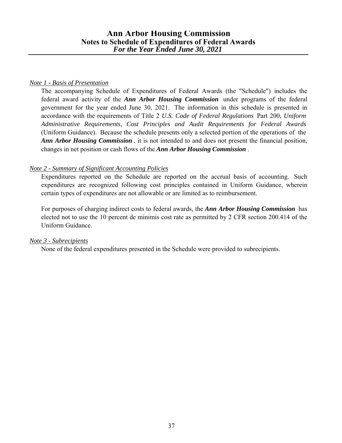## *Note 1 - Basis of Presentation*

The accompanying Schedule of Expenditures of Federal Awards (the "Schedule") includes the federal award activity of the *Ann Arbor Housing Commission* under programs of the federal government for the year ended June 30, 2021. The information in this schedule is presented in accordance with the requirements of Title 2 *U.S. Code of Federal Regulations* Part 200, *Uniform Administrative Requirements, Cost Principles and Audit Requirements for Federal Awards* (Uniform Guidance). Because the schedule presents only a selected portion of the operations of the *Ann Arbor Housing Commission* , it is not intended to and does not present the financial position, changes in net position or cash flows of the *Ann Arbor Housing Commission* .

## *Note 2 - Summary of Significant Accounting Policies*

Expenditures reported on the Schedule are reported on the accrual basis of accounting. Such expenditures are recognized following cost principles contained in Uniform Guidance, wherein certain types of expenditures are not allowable or are limited as to reimbursement.

For purposes of charging indirect costs to federal awards, the *Ann Arbor Housing Commission* has elected not to use the 10 percent de minimis cost rate as permitted by 2 CFR section 200.414 of the Uniform Guidance.

## *Note 3 - Subrecipients*

None of the federal expenditures presented in the Schedule were provided to subrecipients.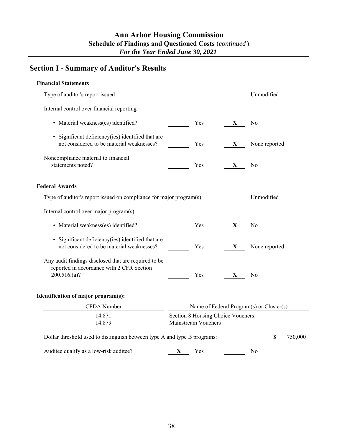## **Section I - Summary of Auditor's Results**

## **Financial Statements** Type of auditor's report issued: Unmodified Internal control over financial reporting • Material weakness(es) identified? Yes No • Significant deficiency(ies) identified that are not considered to be material weaknesses? Yes **X** None reported Noncompliance material to financial statements noted? **Yes X** No **Federal Awards** Type of auditor's report issued on compliance for major program(s): Unmodified Internal control over major program(s) • Material weakness(es) identified? Yes No • Significant deficiency(ies) identified that are not considered to be material weaknesses? Yes **X** None reported Any audit findings disclosed that are required to be reported in accordance with 2 CFR Section 200.516.(a)? Yes **X** No

#### **Identification of major program(s):**

| CFDA Number                                                              | Name of Federal Program(s) or Cluster(s)                 |  |  |         |
|--------------------------------------------------------------------------|----------------------------------------------------------|--|--|---------|
| 14.871<br>14.879                                                         | Section 8 Housing Choice Vouchers<br>Mainstream Vouchers |  |  |         |
| Dollar threshold used to distinguish between type A and type B programs: |                                                          |  |  | 750,000 |
| Auditee qualify as a low-risk auditee?                                   | <b>Yes</b><br>No                                         |  |  |         |